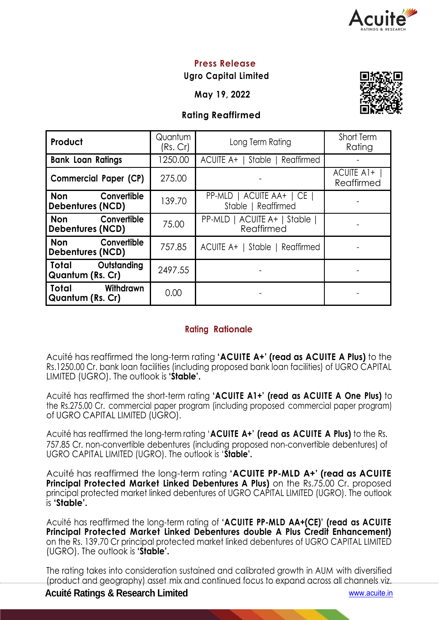

# **Press Release**

**Ugro Capital Limited**

**May 19, 2022**

## **Rating Reaffirmed**



| Product                                              | Quantum<br>(Rs. Cr) | Long Term Rating                                  | Short Term<br>Rating     |
|------------------------------------------------------|---------------------|---------------------------------------------------|--------------------------|
| <b>Bank Loan Ratings</b>                             | 1250.00             | ACUITE A+   Stable   Reaffirmed                   |                          |
| <b>Commercial Paper (CP)</b>                         | 275.00              |                                                   | ACUITE A1+<br>Reaffirmed |
| Convertible<br><b>Non</b><br><b>Debentures (NCD)</b> | 139.70              | PP-MLD   ACUITE AA+   CE  <br>Stable   Reaffirmed |                          |
| Non Convertible<br><b>Debentures (NCD)</b>           | 75.00               | PP-MLD   ACUITE A+   Stable  <br>Reaffirmed       |                          |
| Non Convertible<br><b>Debentures (NCD)</b>           | 757.85              | ACUITE A+   Stable   Reaffirmed                   |                          |
| Total Outstanding<br><b>Quantum (Rs. Cr)</b>         | 2497.55             |                                                   |                          |
| Total Withdrawn<br><b>Quantum (Rs. Cr)</b>           | 0.00                |                                                   |                          |

## **Rating Rationale**

Acuité has reaffirmed the long-term rating **'ACUITE A+' (read as ACUITE A Plus)** to the Rs.1250.00 Cr. bank loan facilities (including proposed bank loan facilities) of UGRO CAPITAL LIMITED (UGRO). The outlook is **'Stable'.**

Acuité has reaffirmed the short-term rating **'ACUITE A1+' (read as ACUITE A One Plus)** to the Rs.275.00 Cr. commercial paper program (including proposed commercial paper program) of UGRO CAPITAL LIMITED (UGRO).

Acuité has reaffirmed the long-term rating '**ACUITE A+' (read as ACUITE A Plus)** to the Rs. 757.85 Cr. non-convertible debentures (including proposed non-convertible debentures) of UGRO CAPITAL LIMITED (UGRO). The outlook is '**Stable'.**

Acuité has reaffirmed the long-term rating **'ACUITE PP-MLD A+' (read as ACUITE Principal Protected Market Linked Debentures A Plus)** on the Rs.75.00 Cr. proposed principal protected market linked debentures of UGRO CAPITAL LIMITED (UGRO). The outlook is **'Stable'.**

Acuité has reaffirmed the long-term rating of **'ACUITE PP-MLD AA+(CE)' (read as ACUITE Principal Protected Market Linked Debentures double A Plus Credit Enhancement)** on the Rs. 139.70 Cr principal protected market linked debentures of UGRO CAPITAL LIMITED (UGRO). The outlook is **'Stable'.**

The rating takes into consideration sustained and calibrated growth in AUM with diversified (product and geography) asset mix and continued focus to expand across all channels viz.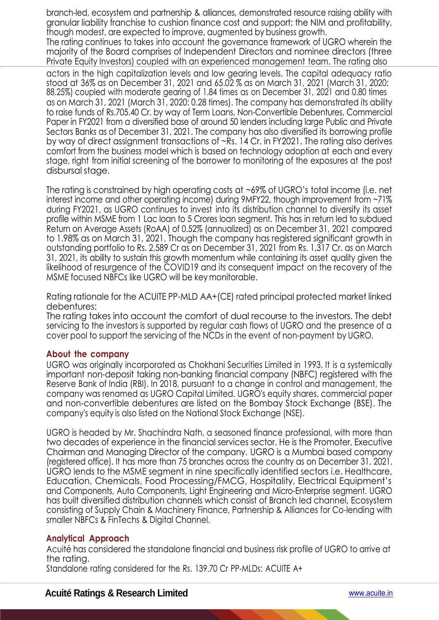branch-led, ecosystem and partnership & alliances, demonstrated resource raising ability with granular liability franchise to cushion finance cost and support; the NIM and profitability, though modest, are expected to improve, augmented by business growth.

The rating continues to takes into account the governance framework of UGRO wherein the majority of the Board comprises of Independent Directors and nominee directors (three Private Equity Investors) coupled with an experienced management team. The rating also

actors in the high capitalization levels and low gearing levels. The capital adequacy ratio stood at 36% as on December 31, 2021 and 65.02 % as on March 31, 2021 (March 31, 2020: 88.25%) coupled with moderate gearing of 1.84 times as on December 31, 2021 and 0.80 times as on March 31, 2021 (March 31, 2020: 0.28 times). The company has demonstrated its ability to raise funds of Rs.705.40 Cr. by way of Term Loans, Non-Convertible Debentures, Commercial Paper in FY2021 from a diversified base of around 50 lenders including large Public and Private Sectors Banks as of December 31, 2021. The company has also diversified its borrowing profile by way of direct assignment transactions of ~Rs. 14 Cr. in FY2021. The rating also derives comfort from the business model which is based on technology adoption at each and every stage, right from initial screening of the borrower to monitoring of the exposures at the post disbursal stage.

The rating is constrained by high operating costs at ~69% of UGRO's total income (i.e. net interest income and other operating income) during 9MFY22, though improvement from ~71% during FY2021, as UGRO continues to invest into its distribution channel to diversify its asset profile within MSME from 1 Lac loan to 5 Crores loan segment. This has in return led to subdued Return on Average Assets (RoAA) of 0.52% (annualized) as on December 31, 2021 compared to 1.98% as on March 31, 2021. Though the company has registered significant growth in outstanding portfolio to Rs. 2,589 Cr as on December 31, 2021 from Rs. 1,317 Cr. as on March 31, 2021, its ability to sustain this growth momentum while containing its asset quality given the likelihood of resurgence of the COVID19 and its consequent impact on the recovery of the MSME focused NBFCs like UGRO will be key monitorable.

Rating rationale for the ACUITE PP-MLD AA+(CE) rated principal protected market linked debentures:

The rating takes into account the comfort of dual recourse to the investors. The debt servicing to the investors is supported by regular cash flows of UGRO and the presence of a cover pool to support the servicing of the NCDs in the event of non-payment by UGRO.

#### **About the company**

UGRO was originally incorporated as Chokhani Securities Limited in 1993. It is a systemically important non-deposit taking non-banking financial company (NBFC) registered with the Reserve Bank of India (RBI). In 2018, pursuant to a change in control and management, the company was renamed as UGRO Capital Limited. UGRO's equity shares, commercial paper and non-convertible debentures are listed on the Bombay Stock Exchange (BSE). The company's equity is also listed on the National Stock Exchange (NSE).

UGRO is headed by Mr. Shachindra Nath, a seasoned finance professional, with more than two decades of experience in the financial services sector. He is the Promoter, Executive Chairman and Managing Director of the company. UGRO is a Mumbai based company (registered office). It has more than 75 branches across the country as on December 31, 2021. UGRO lends to the MSME segment in nine specifically identified sectors i.e. Healthcare, Education, Chemicals, Food Processing/FMCG, Hospitality, Electrical Equipment's and Components, Auto Components, Light Engineering and Micro-Enterprise segment. UGRO has built diversified distribution channels which consist of Branch led channel, Ecosystem consisting of Supply Chain & Machinery Finance, Partnership & Alliances for Co-lending with smaller NBFCs & FinTechs & Digital Channel.

#### **Analytical Approach**

Acuité has considered the standalone financial and business risk profile of UGRO to arrive at the rating.

Standalone rating considered for the Rs. 139.70 Cr PP-MLDs: ACUITE A+

×.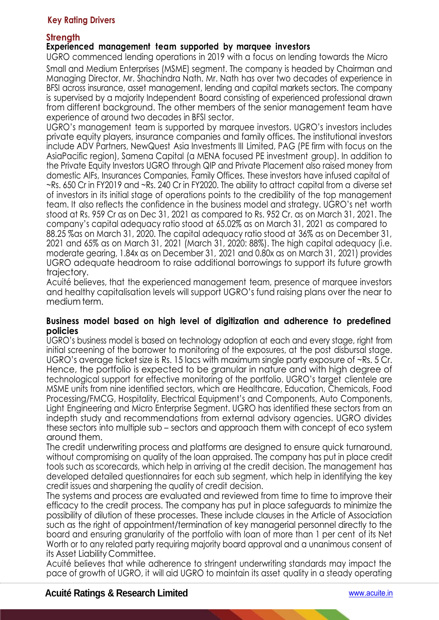## **Key Rating Drivers**

## **Strength**

## **Experienced management team supported by marquee investors**

UGRO commenced lending operations in 2019 with a focus on lending towards the Micro Small and Medium Enterprises (MSME) segment. The company is headed by Chairman and Managing Director, Mr. Shachindra Nath. Mr. Nath has over two decades of experience in BFSI across insurance, asset management, lending and capital markets sectors. The company is supervised by a majority Independent Board consisting of experienced professional drawn from different background. The other members of the senior management team have experience of around two decades in BFSI sector.

UGRO's management team is supported by marquee investors. UGRO's investors includes private equity players, insurance companies and family offices. The institutional investors include ADV Partners, NewQuest Asia Investments III Limited, PAG (PE firm with focus on the AsiaPacific region), Samena Capital (a MENA focused PE investment group). In addition to the Private Equity Investors UGRO through QIP and Private Placement also raised money from domestic AIFs, Insurances Companies, Family Offices. These investors have infused capital of ~Rs. 650 Cr in FY2019 and ~Rs. 240 Cr in FY2020. The ability to attract capital from a diverse set of investors in its initial stage of operations points to the credibility of the top management team. It also reflects the confidence in the business model and strategy. UGRO's net worth stood at Rs. 959 Cr as on Dec 31, 2021 as compared to Rs. 952 Cr. as on March 31, 2021. The company's capital adequacy ratio stood at 65.02% as on March 31, 2021 as compared to 88.25 %as on March 31, 2020. The capital adequacy ratio stood at 36% as on December 31, 2021 and 65% as on March 31, 2021 (March 31, 2020: 88%). The high capital adequacy (i.e. moderate gearing, 1.84x as on December 31, 2021 and 0.80x as on March 31, 2021) provides UGRO adequate headroom to raise additional borrowings to support its future growth trajectory.

Acuité believes, that the experienced management team, presence of marquee investors and healthy capitalisation levels will support UGRO's fund raising plans over the near to medium term.

#### **Business model based on high level of digitization and adherence to predefined policies**

UGRO's business model is based on technology adoption at each and every stage, right from initial screening of the borrower to monitoring of the exposures, at the post disbursal stage. UGRO's average ticket size is Rs. 15 lacs with maximum single party exposure of ~Rs. 5 Cr. Hence, the portfolio is expected to be granular in nature and with high degree of technological support for effective monitoring of the portfolio. UGRO's target clientele are MSME units from nine identified sectors, which are Healthcare, Education, Chemicals, Food Processing/FMCG, Hospitality, Electrical Equipment's and Components, Auto Components, Light Engineering and Micro Enterprise Segment. UGRO has identified these sectors from an indepth study and recommendations from external advisory agencies. UGRO divides these sectors into multiple sub – sectors and approach them with concept of eco system around them.

The credit underwriting process and platforms are designed to ensure quick turnaround, without compromising on quality of the loan appraised. The company has put in place credit tools such as scorecards, which help in arriving at the credit decision. The management has developed detailed questionnaires for each sub segment, which help in identifying the key credit issues and sharpening the quality of credit decision.

The systems and process are evaluated and reviewed from time to time to improve their efficacy to the credit process. The company has put in place safeguards to minimize the possibility of dilution of these processes. These include clauses in the Article of Association such as the right of appointment/termination of key managerial personnel directly to the board and ensuring granularity of the portfolio with loan of more than 1 per cent of its Net Worth or to any related party requiring majority board approval and a unanimous consent of its Asset Liability Committee.

Acuité believes that while adherence to stringent underwriting standards may impact the pace of growth of UGRO, it will aid UGRO to maintain its asset quality in a steady operating

 $\overline{\phantom{0}}$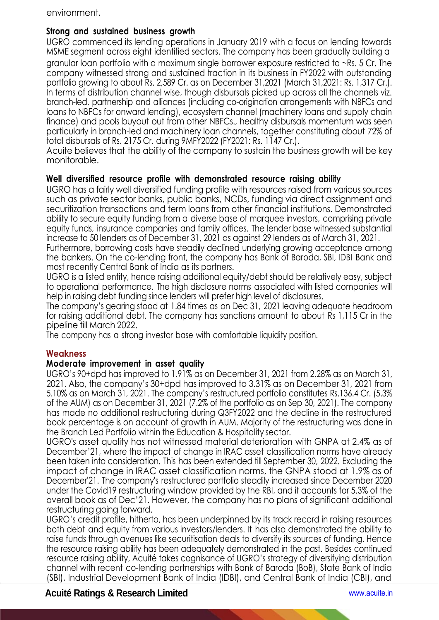#### environment.

#### **Strong and sustained business growth**

UGRO commenced its lending operations in January 2019 with a focus on lending towards MSME segment across eight identified sectors. The company has been gradually building a

granular loan portfolio with a maximum single borrower exposure restricted to ~Rs. 5 Cr. The company witnessed strong and sustained traction in its business in FY2022 with outstanding portfolio growing to about Rs. 2,589 Cr. as on December 31,2021 (March 31,2021: Rs. 1,317 Cr.). In terms of distribution channel wise, though disbursals picked up across all the channels viz. branch-led, partnership and alliances (including co-origination arrangements with NBFCs and loans to NBFCs for onward lending), ecosystem channel (machinery loans and supply chain finance) and pools buyout out from other NBFCs., healthy disbursals momentum was seen particularly in branch-led and machinery loan channels, together constituting about 72% of total disbursals of Rs. 2175 Cr. during 9MFY2022 (FY2021: Rs. 1147 Cr.).

Acuite believes that the ability of the company to sustain the business growth will be key monitorable.

#### **Well diversified resource profile with demonstrated resource raising ability**

UGRO has a fairly well diversified funding profile with resources raised from various sources such as private sector banks, public banks, NCDs, funding via direct assignment and securitization transactions and term loans from other financial institutions. Demonstrated ability to secure equity funding from a diverse base of marquee investors, comprising private equity funds, insurance companies and family offices. The lender base witnessed substantial increase to 50 lenders as of December 31, 2021 as against 29 lenders as of March 31, 2021.

Furthermore, borrowing costs have steadily declined underlying growing acceptance among the bankers. On the co-lending front, the company has Bank of Baroda, SBI, IDBI Bank and most recently Central Bank of India as its partners.

UGRO is a listed entity, hence raising additional equity/debt should be relatively easy, subject to operational performance. The high disclosure norms associated with listed companies will help in raising debt funding since lenders will prefer high level of disclosures.

The company's gearing stood at 1.84 times as on Dec 31, 2021 leaving adequate headroom for raising additional debt. The company has sanctions amount to about Rs 1,115 Cr in the pipeline till March 2022.

The company has a strong investor base with comfortable liquidity position.

#### **Weakness**

### **Moderate improvement in asset quality**

UGRO's 90+dpd has improved to 1.91% as on December 31, 2021 from 2.28% as on March 31, 2021. Also, the company's 30+dpd has improved to 3.31% as on December 31, 2021 from 5.10% as on March 31, 2021. The company's restructured portfolio constitutes Rs.136.4 Cr. (5.3% of the AUM) as on December 31, 2021 (7.2% of the portfolio as on Sep 30, 2021). The company has made no additional restructuring during Q3FY2022 and the decline in the restructured book percentage is on account of growth in AUM. Majority of the restructuring was done in the Branch Led Portfolio within the Education & Hospitality sector.

UGRO's asset quality has not witnessed material deterioration with GNPA at 2.4% as of December'21, where the impact of change in IRAC asset classification norms have already been taken into consideration. This has been extended till September 30, 2022. Excluding the impact of change in IRAC asset classification norms, the GNPA stood at 1.9% as of December'21. The company's restructured portfolio steadily increased since December 2020 under the Covid19 restructuring window provided by the RBI, and it accounts for 5.3% of the overall book as of Dec'21. However, the company has no plans of significant additional restructuring going forward.

UGRO's credit profile, hitherto, has been underpinned by its track record in raising resources both debt and equity from various investors/lenders. It has also demonstrated the ability to raise funds through avenues like securitisation deals to diversify its sources of funding. Hence the resource raising ability has been adequately demonstrated in the past. Besides continued resource raising ability, Acuité takes cognisance of UGRO's strategy of diversifying distribution channel with recent co-lending partnerships with Bank of Baroda (BoB), State Bank of India (SBI), Industrial Development Bank of India (IDBI), and Central Bank of India (CBI), and

## **Acuité Ratings & Research Limited** www.acuite.in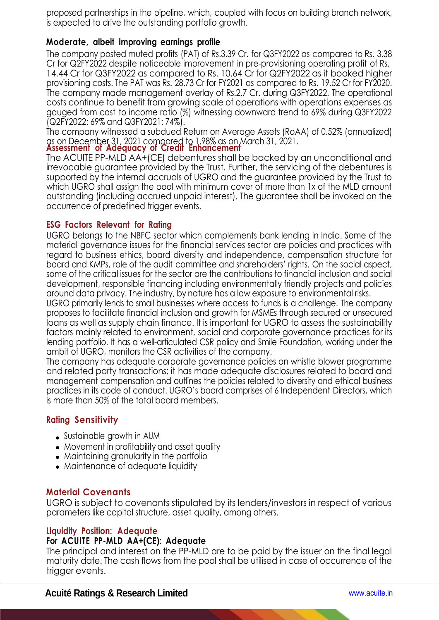proposed partnerships in the pipeline, which, coupled with focus on building branch network, is expected to drive the outstanding portfolio growth.

## **Moderate, albeit improving earnings profile**

The company posted muted profits (PAT) of Rs.3.39 Cr. for Q3FY2022 as compared to Rs. 3.38 Cr for Q2FY2022 despite noticeable improvement in pre-provisioning operating profit of Rs. 14.44 Cr for Q3FY2022 as compared to Rs. 10.64 Cr for Q2FY2022 as it booked higher provisioning costs. The PAT was Rs. 28.73 Cr for FY2021 as compared to Rs. 19.52 Cr for FY2020. The company made management overlay of Rs.2.7 Cr. during Q3FY2022. The operational costs continue to benefit from growing scale of operations with operations expenses as gauged from cost to income ratio (%) witnessing downward trend to 69% during Q3FY2022 (Q2FY2022: 69% and Q3FY2021: 74%).

The company witnessed a subdued Return on Average Assets (RoAA) of 0.52% (annualized) as on December 31, <sup>2021</sup> compared to 1.98% as on March 31, 2021. **Assessment of Adequacy of Credit Enhancement**

The ACUITE PP-MLD AA+(CE) debentures shall be backed by an unconditional and irrevocable guarantee provided by the Trust. Further, the servicing of the debentures is supported by the internal accruals of UGRO and the guarantee provided by the Trust to which UGRO shall assign the pool with minimum cover of more than 1x of the MLD amount outstanding (including accrued unpaid interest). The guarantee shall be invoked on the occurrence of predefined trigger events.

### **ESG Factors Relevant for Rating**

UGRO belongs to the NBFC sector which complements bank lending in India. Some of the material governance issues for the financial services sector are policies and practices with regard to business ethics, board diversity and independence, compensation structure for board and KMPs, role of the audit committee and shareholders' rights. On the social aspect, some of the critical issues for the sector are the contributions to financial inclusion and social development, responsible financing including environmentally friendly projects and policies around data privacy. The industry, by nature has a low exposure to environmental risks.

UGRO primarily lends to small businesses where access to funds is a challenge. The company proposes to facilitate financial inclusion and growth for MSMEs through secured or unsecured loans as well as supply chain finance. It is important for UGRO to assess the sustainability factors mainly related to environment, social and corporate governance practices for its lending portfolio. It has a well-articulated CSR policy and Smile Foundation, working under the ambit of UGRO, monitors the CSR activities of the company.

The company has adequate corporate governance policies on whistle blower programme and related party transactions; it has made adequate disclosures related to board and management compensation and outlines the policies related to diversity and ethical business practices in its code of conduct. UGRO's board comprises of 6 Independent Directors, which is more than 50% of the total board members.

## **Rating Sensitivity**

- Sustainable growth in AUM
- Movement in profitability and asset quality
- Maintaining granularity in the portfolio
- Maintenance of adequate liquidity

## **Material Covenants**

UGRO is subject to covenants stipulated by its lenders/investors in respect of various parameters like capital structure, asset quality, among others.

#### **Liquidity Position: Adequate For ACUITE PP-MLD AA+(CE): Adequate**

The principal and interest on the PP-MLD are to be paid by the issuer on the final legal maturity date. The cash flows from the pool shall be utilised in case of occurrence of the trigger events.

×.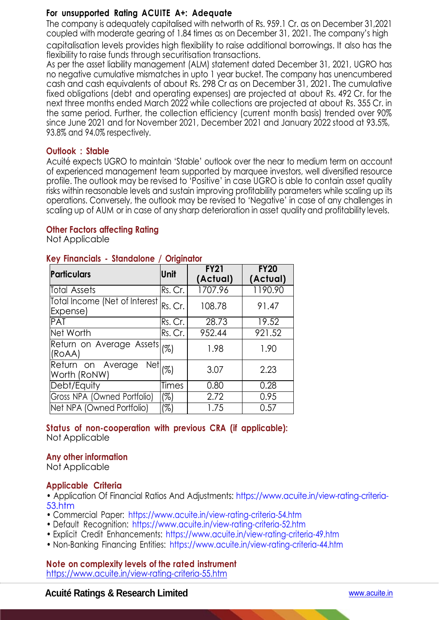## **For unsupported Rating ACUITE A+: Adequate**

The company is adequately capitalised with networth of Rs. 959.1 Cr. as on December 31,2021 coupled with moderate gearing of 1.84 times as on December 31, 2021. The company's high capitalisation levels provides high flexibility to raise additional borrowings. It also has the flexibility to raise funds through securitisation transactions.

As per the asset liability management (ALM) statement dated December 31, 2021, UGRO has no negative cumulative mismatches in upto 1 year bucket. The company has unencumbered cash and cash equivalents of about Rs. 298 Cr as on December 31, 2021. The cumulative fixed obligations (debt and operating expenses) are projected at about Rs. 492 Cr. for the next three months ended March 2022 while collections are projected at about Rs. 355 Cr. in the same period. Further, the collection efficiency (current month basis) trended over 90% since June 2021 and for November 2021, December 2021 and January 2022 stood at 93.5%, 93.8% and 94.0% respectively.

#### **Outlook : Stable**

Acuité expects UGRO to maintain 'Stable' outlook over the near to medium term on account of experienced management team supported by marquee investors, well diversified resource profile. The outlook may be revised to 'Positive' in case UGRO is able to contain asset quality risks within reasonable levels and sustain improving profitability parameters while scaling up its operations. Conversely, the outlook may be revised to 'Negative' in case of any challenges in scaling up of AUM or in case of any sharp deterioration in asset quality and profitability levels.

#### **Other Factors affecting Rating**

Not Applicable

#### **Key Financials - Standalone / Originator**

| <b>Particulars</b>                        | Unit    | <b>FY21</b><br>(Actual) | <b>FY20</b><br>(Actual) |
|-------------------------------------------|---------|-------------------------|-------------------------|
| <b>Total Assets</b>                       | Rs. Cr. | 1707.96                 | 1190.90                 |
| Total Income (Net of Interest<br>Expense) | Rs. Cr. | 108.78                  | 91.47                   |
| PAT                                       | Rs. Cr. | 28.73                   | 19.52                   |
| Net Worth                                 | Rs. Cr. | 952.44                  | 921.52                  |
| Return on Average Assets<br>(ROAA)        | $(\%)$  | 1.98                    | 1.90                    |
| Return on Average<br>Net<br>Worth (RoNW)  | (%)     | 3.07                    | 2.23                    |
| Debt/Equity                               | Times   | 0.80                    | 0.28                    |
| Gross NPA (Owned Portfolio)               | (%)     | 2.72                    | 0.95                    |
| Net NPA (Owned Portfolio)                 | (%)     | 1.75                    | 0.57                    |

#### **Status of non-cooperation with previous CRA (if applicable):**  Not Applicable

**Any other information**  Not Applicable

#### **Applicable Criteria**

• Application Of Financial Ratios And Adjustments: https://www.acuite.in/view-rating-criteria-53.htm

- Commercial Paper: https://www.acuite.in/view-rating-criteria-54.htm
- Default Recognition: https://www.acuite.in/view-rating-criteria-52.htm
- Explicit Credit Enhancements: https://www.acuite.in/view-rating-criteria-49.htm
- Non-Banking Financing Entities: https://www.acuite.in/view-rating-criteria-44.htm

## **Note on complexity levels of the rated instrument**

https://www.acuite.in/view-rating-criteria-55.htm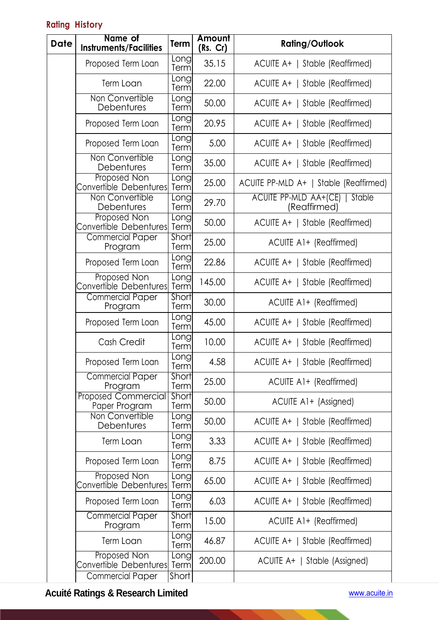# **Rating History**

| <b>Date</b> | Name of<br><b>Instruments/Facilities</b>    | Term                | Amount<br>(Rs. Cr) | <b>Rating/Outlook</b>                          |
|-------------|---------------------------------------------|---------------------|--------------------|------------------------------------------------|
|             | Proposed Term Loan                          | Long<br>Term        | 35.15              | ACUITE A+   Stable (Reaffirmed)                |
|             | Term Loan                                   | Longl<br>Term       | 22.00              | ACUITE A+   Stable (Reaffirmed)                |
|             | Non Convertible<br>Debentures               | <b>Long</b><br>Term | 50.00              | ACUITE A+   Stable (Reaffirmed)                |
|             | Proposed Term Loan                          | Longl<br>Term       | 20.95              | ACUITE A+   Stable (Reaffirmed)                |
|             | Proposed Term Loan                          | <b>Long</b><br>Term | 5.00               | ACUITE A+   Stable (Reaffirmed)                |
|             | Non Convertible<br>Debentures               | Long<br>Term        | 35.00              | ACUITE A+   Stable (Reaffirmed)                |
|             | Proposed Non<br>Convertible Debentures      | <b>Long</b><br>Term | 25.00              | ACUITE PP-MLD A+   Stable (Reaffirmed)         |
|             | Non Convertible<br>Debentures               | Long<br>Term        | 29.70              | ACUITE PP-MLD AA+(CE)   Stable<br>(Reaffirmed) |
|             | Proposed Non<br>Convertible Debentures      | Long<br>Term        | 50.00              | ACUITE A+   Stable (Reaffirmed)                |
|             | <b>Commercial Paper</b><br>Program          | Short<br>Term       | 25.00              | ACUITE A1+ (Reaffirmed)                        |
|             | Proposed Term Loan                          | Long<br>Term        | 22.86              | ACUITE A+   Stable (Reaffirmed)                |
|             | Proposed Non<br>Convertible Debentures      | Long<br>Term        | 145.00             | ACUITE A+   Stable (Reaffirmed)                |
|             | <b>Commercial Paper</b><br>Program          | Short<br>Term       | 30.00              | ACUITE A1+ (Reaffirmed)                        |
|             | Proposed Term Loan                          | Long<br>Term        | 45.00              | ACUITE A+   Stable (Reaffirmed)                |
|             | Cash Credit                                 | Long<br>Term        | 10.00              | ACUITE A+   Stable (Reaffirmed)                |
|             | Proposed Term Loan                          | Long<br>Terml       | 4.58               | ACUITE A+   Stable (Reaffirmed)                |
|             | <b>Commercial Paper</b><br>Program          | Short<br>Term       | 25.00              | ACUITE A1+ (Reaffirmed)                        |
|             | <b>Proposed Commercial</b><br>Paper Program | Short<br>Term       | 50.00              | ACUITE A1+ (Assigned)                          |
|             | Non Convertible<br>Debentures               | Long<br>Term        | 50.00              | ACUITE A+   Stable (Reaffirmed)                |
|             | Term Loan                                   | Long<br>Term        | 3.33               | ACUITE A+   Stable (Reaffirmed)                |
|             | Proposed Term Loan                          | Long<br>Term        | 8.75               | ACUITE A+   Stable (Reaffirmed)                |
|             | Proposed Non<br>Convertible Debentures      | Long<br>Term        | 65.00              | ACUITE A+   Stable (Reaffirmed)                |
|             | Proposed Term Loan                          | Long<br>Term        | 6.03               | ACUITE A+   Stable (Reaffirmed)                |
|             | <b>Commercial Paper</b><br>Program          | Short<br>Term       | 15.00              | ACUITE A1+ (Reaffirmed)                        |
|             | Term Loan                                   | Longl<br>Term       | 46.87              | ACUITE A+   Stable (Reaffirmed)                |
|             | Proposed Non<br>Convertible Debentures      | Long<br>Term        | 200.00             | ACUITE A+   Stable (Assigned)                  |
|             | <b>Commercial Paper</b>                     | Short               |                    |                                                |

**Acuité Ratings & Research Limited** www.acuite.in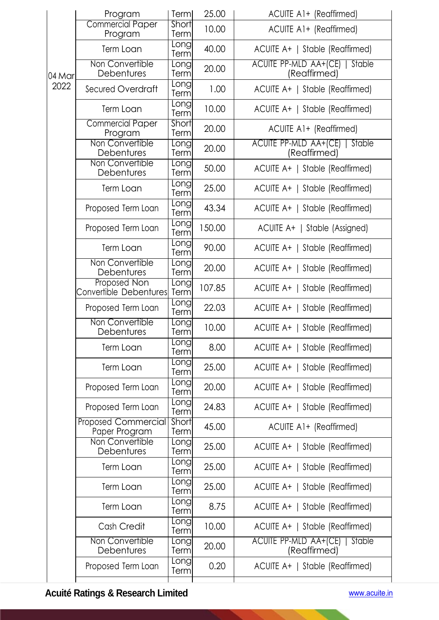|        | Program                                       | Term                  | 25.00  | ACUITE A1+ (Reaffirmed)                               |
|--------|-----------------------------------------------|-----------------------|--------|-------------------------------------------------------|
|        | <b>Commercial Paper</b><br>Program            | Short<br>Term         | 10.00  | ACUITE A1+ (Reaffirmed)                               |
|        | Term Loan                                     | <b>Long</b><br>Term   | 40.00  | ACUITE A+   Stable (Reaffirmed)                       |
| 04 Mar | Non Convertible<br>Debentures                 | <b>L</b> ongl<br>Term | 20.00  | <b>ACUITE PP-MLD AA+(CE)   Stable</b><br>(Reaffirmed) |
| 2022   | <b>Secured Overdraft</b>                      | Longl<br>Term         | 1.00   | ACUITE A+   Stable (Reaffirmed)                       |
|        | Term Loan                                     | <b>Long</b><br>Term   | 10.00  | ACUITE A+   Stable (Reaffirmed)                       |
|        | <b>Commercial Paper</b><br>Program            | Short<br>Term         | 20.00  | ACUITE A1+ (Reaffirmed)                               |
|        | Non Convertible<br>Debentures                 | <b>Long</b><br>Term   | 20.00  | ACUITE PP-MLD AA+(CE)   Stable<br>(Reaffirmed)        |
|        | Non Convertible<br>Debentures                 | Eong<br>Term          | 50.00  | ACUITE A+   Stable (Reaffirmed)                       |
|        | Term Loan                                     | <u>Long</u><br>Term   | 25.00  | ACUITE A+   Stable (Reaffirmed)                       |
|        | Proposed Term Loan                            | <b>Long</b><br>Term   | 43.34  | ACUITE A+   Stable (Reaffirmed)                       |
|        | Proposed Term Loan                            | [ong<br>Term          | 150.00 | ACUITE A+   Stable (Assigned)                         |
|        | Term Loan                                     | <b>L</b> ong<br>Term  | 90.00  | ACUITE A+   Stable (Reaffirmed)                       |
|        | Non Convertible<br>Debentures                 | <u>Longl</u><br>Term  | 20.00  | ACUITE A+   Stable (Reaffirmed)                       |
|        | Proposed Non<br><b>Convertible Debentures</b> | <b>Long</b><br>Term   | 107.85 | ACUITE A+   Stable (Reaffirmed)                       |
|        | Proposed Term Loan                            | Long<br>Term          | 22.03  | ACUITE A+   Stable (Reaffirmed)                       |
|        | Non Convertible<br>Debentures                 | Long<br>Term          | 10.00  | ACUITE A+   Stable (Reaffirmed)                       |
|        | Term Loan                                     | Long<br>Term          | 8.00   | ACUITE A+   Stable (Reaffirmed)                       |
|        | Term Loan                                     | Long<br>Term          | 25.00  | ACUITE A+   Stable (Reaffirmed)                       |
|        | Proposed Term Loan                            | Eong<br>Term          | 20.00  | ACUITE A+   Stable (Reaffirmed)                       |
|        | Proposed Term Loan                            | Long<br>Term          | 24.83  | ACUITE A+   Stable (Reaffirmed)                       |
|        | <b>Proposed Commercial</b><br>Paper Program   | Short<br>Term         | 45.00  | ACUITE A1+ (Reaffirmed)                               |
|        | Non Convertible<br>Debentures                 | Long<br>Term          | 25.00  | ACUITE A+   Stable (Reaffirmed)                       |
|        | Term Loan                                     | Long<br>Term          | 25.00  | ACUITE A+   Stable (Reaffirmed)                       |
|        | Term Loan                                     | Long<br>Term          | 25.00  | ACUITE A+   Stable (Reaffirmed)                       |
|        | Term Loan                                     | Longl<br>Term         | 8.75   | ACUITE A+   Stable (Reaffirmed)                       |
|        | Cash Credit                                   | Long<br>Term          | 10.00  | ACUITE A+   Stable (Reaffirmed)                       |
|        | Non Convertible<br>Debentures                 | Eongl<br>Term         | 20.00  | <b>ACUITE PP-MLD AA+(CE)   Stable</b><br>(Reaffirmed) |
|        | Proposed Term Loan                            | Long<br>Term          | 0.20   | ACUITE A+   Stable (Reaffirmed)                       |
|        |                                               |                       |        |                                                       |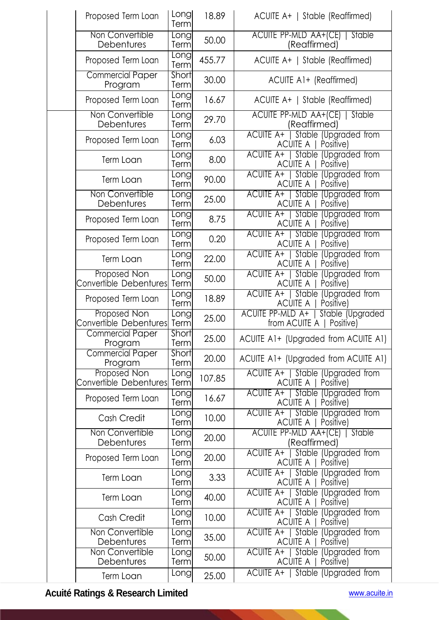| Proposed Term Loan                            | Long<br>Term        | 18.89  | ACUITE A+   Stable (Reaffirmed)                                                     |
|-----------------------------------------------|---------------------|--------|-------------------------------------------------------------------------------------|
| Non Convertible<br>Debentures                 | Long<br>Term        | 50.00  | ACUITE PP-MLD AA+(CE)  <br>Stable<br>(Reaffirmed)                                   |
| Proposed Term Loan                            | Long<br>Term        | 455.77 | ACUITE A+   Stable (Reaffirmed)                                                     |
| <b>Commercial Paper</b><br>Program            | Short<br>Term       | 30.00  | ACUITE A1+ (Reaffirmed)                                                             |
| Proposed Term Loan                            | Long<br>Term        | 16.67  | ACUITE A+   Stable (Reaffirmed)                                                     |
| Non Convertible<br>Debentures                 | <b>Long</b><br>Term | 29.70  | ACUITE PP-MLD AA+(CE)<br>Stable<br>(Reaffirmed)                                     |
| Proposed Term Loan                            | Long<br>Term        | 6.03   | Stable (Upgraded from<br><b>ACUITE A+</b><br>ACUITE A  <br>Positive)                |
| Term Loan                                     | <b>Long</b><br>Term | 8.00   | ACUITE A+   Stable (Upgraded from<br><b>ACUITE A</b><br>Positive)                   |
| <b>Term Loan</b>                              | <b>Long</b><br>Term | 90.00  | <b>ACUITE A+ 1</b><br>Stable (Upgraded from<br><b>ACUITE A</b><br>Positive)         |
| Non Convertible<br>Debentures                 | <b>Long</b><br>Term | 25.00  | ACUITE A+   Stable (Upgraded from<br><b>ACUITE A</b><br>Positive)                   |
| Proposed Term Loan                            | Long<br>Term        | 8.75   | <b>ACUITE A+</b><br>Stable (Upgraded from<br><b>ACUITE A</b><br>Positive)           |
| Proposed Term Loan                            | <b>Long</b><br>Term | 0.20   | ACUITE A+   Stable<br>(Upgraded from<br><b>ACUITE A</b><br>Positive)                |
| Term Loan                                     | <b>Long</b><br>Term | 22.00  | ACUITE A+  <br>Stable<br>(Upgraded from<br><b>ACUITE A</b><br>Positive)             |
| Proposed Non<br>Convertible Debentures        | Long<br>Term        | 50.00  | <b>ACUITE A+</b><br><b>Stable</b><br>(Upgraded from<br><b>ACUITE A</b><br>Positive) |
| Proposed Term Loan                            | <b>Long</b><br>Term | 18.89  | <b>Stable</b><br><b>ACUITE A+</b><br>(Upgraded from<br><b>ACUITE A</b><br>Positive) |
| Proposed Non<br><b>Convertible Debentures</b> | Long<br>Term        | 25.00  | ACUITE PP-MLD A+   Stable (Upgraded<br>from ACUITE A   Positive)                    |
| <b>Commercial Paper</b><br>Program            | Short<br>Term       | 25.00  | ACUITE A1+ (Upgraded from ACUITE A1)                                                |
| <b>Commercial Paper</b><br>Program            | Short<br>Term       | 20.00  | ACUITE A1+ (Upgraded from ACUITE A1)                                                |
| Proposed Non<br>Convertible Debentures        | Long<br>Term        | 107.85 | ACUITE A+   Stable (Upgraded from<br>ACUITE A   Positive)                           |
| Proposed Term Loan                            | Long<br>Term        | 16.67  | ACUITE A+   Stable (Upgraded from<br><b>ACUITE A</b><br>Positive)                   |
| Cash Credit                                   | Long<br>Term        | 10.00  | ACUITE A+   Stable (Upgraded from<br><b>ACUITE A</b><br>Positive)                   |
| Non Convertible<br>Debentures                 | Long<br>Term        | 20.00  | ACUITE PP-MLD AA+(CE)  <br>Stable<br>(Reaffirmed)                                   |
| Proposed Term Loan                            | Long<br>Term        | 20.00  | ACUITE A+   Stable (Upgraded from<br><b>ACUITE A</b><br>Positive)                   |
| Term Loan                                     | Long<br>Term        | 3.33   | ACUITE A+  <br>Stable (Upgraded from<br><b>ACUITE A</b><br>Positive)                |
| Term Loan                                     | Long<br>Term        | 40.00  | Stable<br>(Upgraded from<br>$ACUITE A+$<br><b>ACUITE A</b><br>Positive)             |
| Cash Credit                                   | Long<br>Term        | 10.00  | ACUITE A+   Stable<br>(Upgraded from<br><b>ACUITE A</b><br>Positive)                |
| Non Convertible<br>Debentures                 | Long<br>Term        | 35.00  | ACUITE A+   Stable (Upgraded from<br><b>ACUITE A</b><br>Positive)                   |
| Non Convertible<br>Debentures                 | Long<br>Term        | 50.00  | ACUITE A+   Stable (Upgraded from<br><b>ACUITE A</b><br>Positive)                   |
| Term Loan                                     | Long                | 25.00  | ACUITE A+   Stable (Upgraded from                                                   |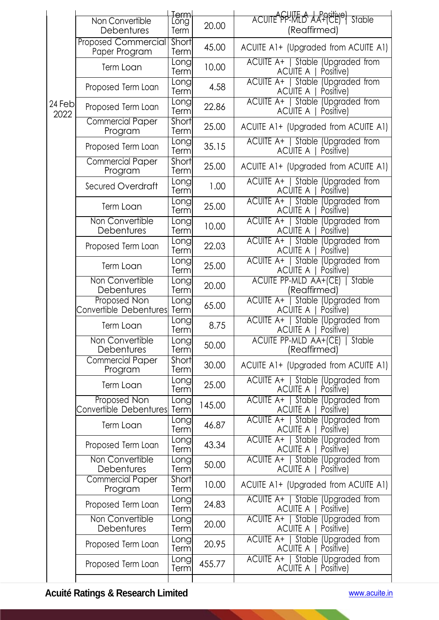|                | Non Convertible                             | <b>Terml</b><br>Lŏng |        | ACUITE PP-WED AA-POULTING Stable                                    |
|----------------|---------------------------------------------|----------------------|--------|---------------------------------------------------------------------|
|                | Debentures                                  | Term                 | 20.00  | (Reaffirmed)                                                        |
|                | <b>Proposed Commercial</b><br>Paper Program | Short<br>Term        | 45.00  | ACUITE A1+ (Upgraded from ACUITE A1)                                |
|                | Term Loan                                   | Long<br>Term         | 10.00  | ACUITE A+   Stable (Upgraded from<br>ACUITE A   Positive)           |
|                | Proposed Term Loan                          | Longl<br>Term        | 4.58   | ACUITE A+   Stable (Upgraded from<br>Positive)<br><b>ACUITE A</b>   |
| 24 Feb<br>2022 | Proposed Term Loan                          | Longl<br>Term        | 22.86  | ACUITE A+   Stable (Upgraded from<br><b>ACUITE A</b>  <br>Positive) |
|                | <b>Commercial Paper</b><br>Program          | Short<br>Term        | 25.00  | ACUITE A1+ (Upgraded from ACUITE A1)                                |
|                | Proposed Term Loan                          | Long<br>Term         | 35.15  | ACUITE A+   Stable (Upgraded from<br>ACUITE A   Positive)           |
|                | <b>Commercial Paper</b><br>Program          | Short<br>Term        | 25.00  | ACUITE A1+ (Upgraded from ACUITE A1)                                |
|                | Secured Overdraft                           | Longl<br>Term        | 1.00   | ACUITE A+   Stable (Upgraded from<br>ACUITE A   Positive)           |
|                | Term Loan                                   | Long<br>Term         | 25.00  | ACUITE A+   Stable (Upgraded from<br>Positive)<br>ACUITE A          |
|                | Non Convertible<br>Debentures               | Long<br>Term         | 10.00  | ACUITE A+   Stable (Upgraded from<br>ACUITE A  <br>Positive)        |
|                | Proposed Term Loan                          | Long<br>Term         | 22.03  | ACUITE A+   Stable (Upgraded from<br>Positive)<br><b>ACUITE A</b>   |
|                | Term Loan                                   | Long<br>Term         | 25.00  | ACUITE A+   Stable (Upgraded from<br>ACUITE A  <br>Positive)        |
|                | Non Convertible<br>Debentures               | Long<br>Term         | 20.00  | ACUITE PP-MLD AA+(CE)   Stable<br>(Reaffirmed)                      |
|                | Proposed Non<br>Convertible Debentures      | Long<br>Term         | 65.00  | ACUITE A+   Stable (Upgraded from<br>ACUITE A   Positive)           |
|                | Term Loan                                   | Long<br>Term         | 8.75   | ACUITE A+   Stable (Upgraded from<br>ACUITE A  <br>Positive)        |
|                | Non Convertible<br>Debentures               | Long<br>Term         | 50.00  | ACUITE PP-MLD AA+(CE)   Stable<br>(Reaffirmed)                      |
|                | <b>Commercial Paper</b><br>Program          | Short<br>Term        | 30.00  | ACUITE A1+ (Upgraded from ACUITE A1)                                |
|                | Term Loan                                   | Long<br>Term         | 25.00  | ACUITE A+   Stable (Upgraded from<br>ACUITE A   Positive)           |
|                | Proposed Non<br>Convertible Debentures      | Long<br>Term         | 145.00 | ACUITE A+   Stable (Upgraded from<br>Positive)<br>ACUITE A          |
|                | Term Loan                                   | Long<br>Term         | 46.87  | ACUITE A+   Stable (Upgraded from<br>ACUITE A  <br>Positive)        |
|                | Proposed Term Loan                          | Long<br>Term         | 43.34  | ACUITE A+   Stable (Upgraded from<br>Positive)<br>ACUITE A          |
|                | Non Convertible<br>Debentures               | Longl<br>Term        | 50.00  | ACUITE A+   Stable (Upgraded from<br>ACUITE A  <br>Positive)        |
|                | <b>Commercial Paper</b><br>Program          | Short<br>Term        | 10.00  | ACUITE A1+ (Upgraded from ACUITE A1)                                |
|                | Proposed Term Loan                          | Long<br>Term         | 24.83  | ACUITE A+   Stable (Upgraded from<br><b>ACUITE A</b><br>Positive)   |
|                | Non Convertible<br>Debentures               | Long<br>Term         | 20.00  | ACUITE A+   Stable (Upgraded from<br>Positive)<br>ACUITE A          |
|                | Proposed Term Loan                          | Long<br>Term         | 20.95  | ACUITE A+   Stable (Upgraded from<br><b>ACUITE A</b><br>Positive)   |
|                | Proposed Term Loan                          | Long<br>Term         | 455.77 | ACUITE A+   Stable (Upgraded from<br>Positive)<br>ACUITE A          |
|                |                                             |                      |        |                                                                     |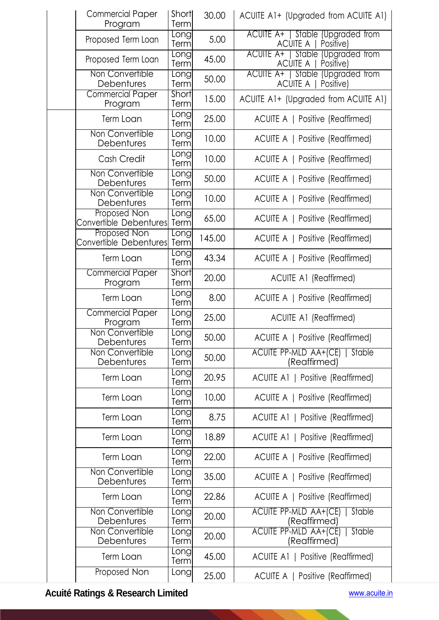| <b>Commercial Paper</b><br>Program     | Shortl<br>Term      | 30.00  | ACUITE A1+ (Upgraded from ACUITE A1)                                   |
|----------------------------------------|---------------------|--------|------------------------------------------------------------------------|
| Proposed Term Loan                     | <u> Long</u>        | 5.00   | ACUITE A+   Stable (Upgraded from                                      |
| Proposed Term Loan                     | Term<br>[ong        | 45.00  | ACUITE A   Positive)<br>  Stable<br><b>ACUITE A+</b><br>(Upgraded from |
| Non Convertible                        | Term<br>Long        |        | <b>ACUITE A</b><br>Positive)<br>ACUITE A+   Stable (Upgraded from      |
| Debentures                             | Term                | 50.00  | <b>ACUITE A</b><br>Positive)                                           |
| <b>Commercial Paper</b><br>Program     | Short<br>Term       | 15.00  | ACUITE A1+ (Upgraded from ACUITE A1)                                   |
| Term Loan                              | Long<br>Term        | 25.00  | ACUITE A   Positive (Reaffirmed)                                       |
| Non Convertible<br>Debentures          | Long<br>Term        | 10.00  | ACUITE A   Positive (Reaffirmed)                                       |
| Cash Credit                            | Long<br>Term        | 10.00  | ACUITE A   Positive (Reaffirmed)                                       |
| Non Convertible<br>Debentures          | Long<br>Term        | 50.00  | ACUITE A   Positive (Reaffirmed)                                       |
| Non Convertible<br>Debentures          | Long                | 10.00  | ACUITE A   Positive (Reaffirmed)                                       |
| Proposed Non                           | Term<br>Long        | 65.00  | ACUITE A   Positive (Reaffirmed)                                       |
| Convertible Debentures<br>Proposed Non | Term<br>Long        | 145.00 |                                                                        |
| Convertible Debentures                 | Term<br>Long        |        | ACUITE A   Positive (Reaffirmed)                                       |
| Term Loan                              | Term                | 43.34  | ACUITE A   Positive (Reaffirmed)                                       |
| <b>Commercial Paper</b><br>Program     | Short<br>Term       | 20.00  | <b>ACUITE A1 (Reaffirmed)</b>                                          |
| Term Loan                              | Long<br>Term        | 8.00   | ACUITE A   Positive (Reaffirmed)                                       |
| <b>Commercial Paper</b><br>Program     | <b>Long</b><br>Term | 25.00  | <b>ACUITE A1 (Reaffirmed)</b>                                          |
| Non Convertible<br>Debentures          | <b>Long</b><br>Term | 50.00  | ACUITE A   Positive (Reaffirmed)                                       |
| Non Convertible<br>Debentures          | Eong<br>Term        | 50.00  | ACUITE PP-MLD AA+(CE)   Stable<br>(Reaffirmed)                         |
| Term Loan                              | <b>Long</b><br>Term | 20.95  | ACUITE A1   Positive (Reaffirmed)                                      |
| <b>Term Loan</b>                       | Long<br>Term        | 10.00  | ACUITE A   Positive (Reaffirmed)                                       |
| Term Loan                              | <b>Long</b><br>Term | 8.75   | ACUITE A1   Positive (Reaffirmed)                                      |
| Term Loan                              | <b>Long</b><br>Term | 18.89  | ACUITE A1   Positive (Reaffirmed)                                      |
| Term Loan                              | <b>Long</b><br>Term | 22.00  | ACUITE A   Positive (Reaffirmed)                                       |
| Non Convertible<br>Debentures          | Long<br>Term        | 35.00  | ACUITE A   Positive (Reaffirmed)                                       |
| Term Loan                              | Long<br>Term        | 22.86  | ACUITE A   Positive (Reaffirmed)                                       |
| Non Convertible<br>Debentures          | Eong<br>Term        | 20.00  | ACUITE PP-MLD AA+(CE)  <br>Stable<br>(Reaffirmed)                      |
| Non Convertible<br>Debentures          | Longl<br>Term       | 20.00  | ACUITE PP-MLD AA+(CE)  <br>Stable<br>(Reaffirmed)                      |
| Term Loan                              | Long<br>Term        | 45.00  | ACUITE A1   Positive (Reaffirmed)                                      |
| Proposed Non                           | Long                | 25.00  | ACUITE A   Positive (Reaffirmed)                                       |

S.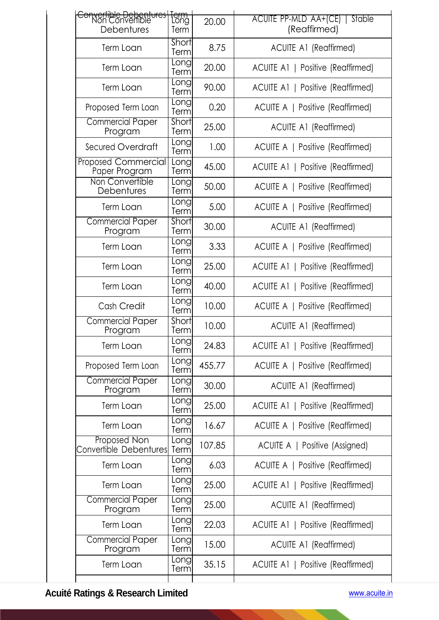| Debentures                                  | Term<br>Long<br>Term | 20.00  | ACUITE PP-MLD AA+(CE)  <br>Stable<br>(Reaffirmed) |
|---------------------------------------------|----------------------|--------|---------------------------------------------------|
| <b>Term Loan</b>                            | Short<br>Term        | 8.75   | <b>ACUITE A1 (Reaffirmed)</b>                     |
| Term Loan                                   | Long<br>Term         | 20.00  | ACUITE A1   Positive (Reaffirmed)                 |
| Term Loan                                   | Long<br>Term         | 90.00  | ACUITE A1   Positive (Reaffirmed)                 |
| Proposed Term Loan                          | Long<br>Term         | 0.20   | ACUITE A   Positive (Reaffirmed)                  |
| <b>Commercial Paper</b><br>Program          | Short<br>Term        | 25.00  | <b>ACUITE A1 (Reaffirmed)</b>                     |
| Secured Overdraft                           | Long<br>Term         | 1.00   | ACUITE A   Positive (Reaffirmed)                  |
| <b>Proposed Commercial</b><br>Paper Program | Long<br>Term         | 45.00  | ACUITE A1   Positive (Reaffirmed)                 |
| Non Convertible<br>Debentures               | Long<br>Term         | 50.00  | ACUITE A   Positive (Reaffirmed)                  |
| Term Loan                                   | Long<br>Term         | 5.00   | ACUITE A   Positive (Reaffirmed)                  |
| <b>Commercial Paper</b><br>Program          | Short<br>Term        | 30.00  | <b>ACUITE A1 (Reaffirmed)</b>                     |
| Term Loan                                   | Long<br>Term         | 3.33   | ACUITE A   Positive (Reaffirmed)                  |
| Term Loan                                   | Long<br>Term         | 25.00  | ACUITE A1   Positive (Reaffirmed)                 |
| Term Loan                                   | Long<br>Term         | 40.00  | ACUITE A1   Positive (Reaffirmed)                 |
| Cash Credit                                 | Long<br>Term         | 10.00  | ACUITE A   Positive (Reaffirmed)                  |
| <b>Commercial Paper</b><br>Program          | Short<br>Term        | 10.00  | <b>ACUITE A1 (Reaffirmed)</b>                     |
| Term Loan                                   | Long<br>Term         | 24.83  | ACUITE A1   Positive (Reaffirmed)                 |
| Proposed Term Loan                          | Long<br>Term         | 455.77 | ACUITE A   Positive (Reaffirmed)                  |
| <b>Commercial Paper</b><br>Program          | Long<br>Term         | 30.00  | <b>ACUITE A1 (Reaffirmed)</b>                     |
| Term Loan                                   | Long<br>Term         | 25.00  | ACUITE A1   Positive (Reaffirmed)                 |
| Term Loan                                   | Long<br>Term         | 16.67  | ACUITE A   Positive (Reaffirmed)                  |
| Proposed Non<br>Convertible Debentures      | Long<br>Term         | 107.85 | ACUITE A   Positive (Assigned)                    |
| Term Loan                                   | Long<br>Term         | 6.03   | ACUITE A   Positive (Reaffirmed)                  |
| Term Loan                                   | Long<br>Term         | 25.00  | ACUITE A1   Positive (Reaffirmed)                 |
| <b>Commercial Paper</b><br>Program          | Long<br>Term         | 25.00  | <b>ACUITE A1 (Reaffirmed)</b>                     |
| Term Loan                                   | Long<br>Term         | 22.03  | ACUITE A1   Positive (Reaffirmed)                 |
| <b>Commercial Paper</b><br>Program          | Long<br>Term         | 15.00  | <b>ACUITE A1 (Reaffirmed)</b>                     |
| Term Loan                                   | Long<br>Term         | 35.15  | ACUITE A1   Positive (Reaffirmed)                 |
|                                             |                      |        |                                                   |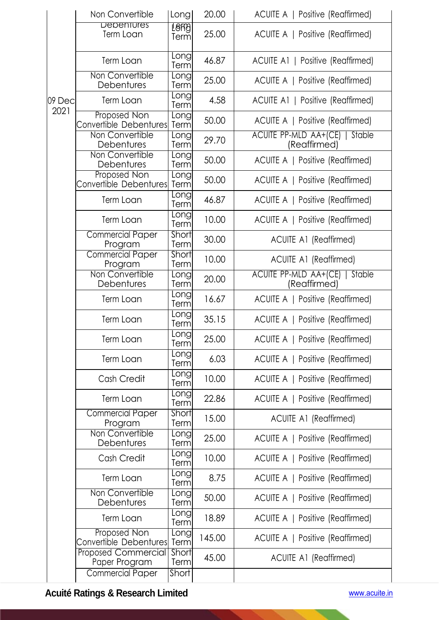|                | Non Convertible                             | Long                 | 20.00  | ACUITE A   Positive (Reaffirmed)                  |
|----------------|---------------------------------------------|----------------------|--------|---------------------------------------------------|
|                | <b>Deperitures</b><br>Term Loan             | <b>Leke</b><br>Term  | 25.00  | ACUITE A   Positive (Reaffirmed)                  |
|                | Term Loan                                   | Long<br>Term         | 46.87  | ACUITE A1   Positive (Reaffirmed)                 |
|                | Non Convertible<br>Debentures               | Long<br>Term         | 25.00  | ACUITE A   Positive (Reaffirmed)                  |
| 09 Dec<br>2021 | Term Loan                                   | Long<br>Term         | 4.58   | ACUITE A1   Positive (Reaffirmed)                 |
|                | Proposed Non<br>Convertible Debentures      | Long<br>Term         | 50.00  | ACUITE A   Positive (Reaffirmed)                  |
|                | Non Convertible<br>Debentures               | Long<br>Term         | 29.70  | ACUITE PP-MLD AA+(CE)  <br>Stable<br>(Reaffirmed) |
|                | Non Convertible<br>Debentures               | Long<br>Term         | 50.00  | ACUITE A   Positive (Reaffirmed)                  |
|                | Proposed Non<br>Convertible Debentures      | Long<br>Term         | 50.00  | ACUITE A   Positive (Reaffirmed)                  |
|                | Term Loan                                   | Longl<br>Term        | 46.87  | ACUITE A   Positive (Reaffirmed)                  |
|                | Term Loan                                   | Long<br>Term         | 10.00  | ACUITE A   Positive (Reaffirmed)                  |
|                | <b>Commercial Paper</b><br>Program          | Short<br>Term        | 30.00  | <b>ACUITE A1 (Reaffirmed)</b>                     |
|                | <b>Commercial Paper</b><br>Program          | Short<br>Term        | 10.00  | <b>ACUITE A1 (Reaffirmed)</b>                     |
|                | Non Convertible<br>Debentures               | Longl<br>Term        | 20.00  | ACUITE PP-MLD AA+(CE)   Stable<br>(Reaffirmed)    |
|                | Term Loan                                   | Long<br>Term         | 16.67  | ACUITE A   Positive (Reaffirmed)                  |
|                | Term Loan                                   | Long<br>Term         | 35.15  | ACUITE A   Positive (Reaffirmed)                  |
|                | Term Loan                                   | Long<br>Term         | 25.00  | ACUITE A   Positive (Reaffirmed)                  |
|                | Term Loan                                   | Long<br>Term         | 6.03   | ACUITE A   Positive (Reaffirmed)                  |
|                | Cash Credit                                 | Long<br>Term         | 10.00  | ACUITE A   Positive (Reaffirmed)                  |
|                | Term Loan                                   | Long<br>Term         | 22.86  | ACUITE A   Positive (Reaffirmed)                  |
|                | <b>Commercial Paper</b><br>Program          | Short<br>Term        | 15.00  | <b>ACUITE A1 (Reaffirmed)</b>                     |
|                | Non Convertible<br>Debentures               | Long<br>Term         | 25.00  | ACUITE A   Positive (Reaffirmed)                  |
|                | Cash Credit                                 | <b>Long</b><br>Terml | 10.00  | ACUITE A   Positive (Reaffirmed)                  |
|                | Term Loan                                   | <b>Long</b><br>Term  | 8.75   | ACUITE A   Positive (Reaffirmed)                  |
|                | Non Convertible<br>Debentures               | Long<br>Term         | 50.00  | ACUITE A   Positive (Reaffirmed)                  |
|                | Term Loan                                   | Long<br>Term         | 18.89  | ACUITE A   Positive (Reaffirmed)                  |
|                | Proposed Non<br>Convertible Debentures      | Long<br>Term         | 145.00 | ACUITE A   Positive (Reaffirmed)                  |
|                | <b>Proposed Commercial</b><br>Paper Program | Short<br>Term        | 45.00  | <b>ACUITE A1 (Reaffirmed)</b>                     |
|                | <b>Commercial Paper</b>                     | Short                |        |                                                   |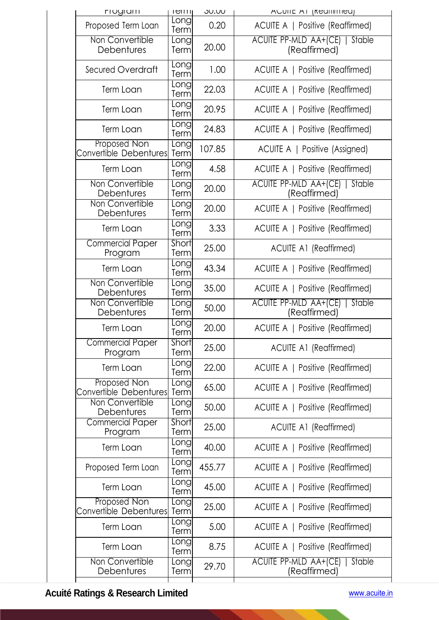| <b>FIUGICIII</b>                       | U             | <b>JU.UU</b> | <b>AUDILE AT (KEUHIHIEU)</b>                          |
|----------------------------------------|---------------|--------------|-------------------------------------------------------|
| Proposed Term Loan                     | Long<br>Term  | 0.20         | ACUITE A   Positive (Reaffirmed)                      |
| Non Convertible<br>Debentures          | Long<br>Term  | 20.00        | ACUITE PP-MLD AA+(CE)   Stable<br>(Reaffirmed)        |
| Secured Overdraft                      | Long<br>Term  | 1.00         | ACUITE A   Positive (Reaffirmed)                      |
| Term Loan                              | Long<br>Term  | 22.03        | ACUITE A   Positive (Reaffirmed)                      |
| Term Loan                              | Long<br>Term  | 20.95        | ACUITE A   Positive (Reaffirmed)                      |
| Term Loan                              | Long<br>Term  | 24.83        | ACUITE A   Positive (Reaffirmed)                      |
| Proposed Non<br>Convertible Debentures | Long<br>Term  | 107.85       | ACUITE A   Positive (Assigned)                        |
| Term Loan                              | Long<br>Term  | 4.58         | ACUITE A   Positive (Reaffirmed)                      |
| Non Convertible<br>Debentures          | Long<br>Term  | 20.00        | <b>ACUITE PP-MLD AA+(CE)   Stable</b><br>(Reaffirmed) |
| Non Convertible<br>Debentures          | Long<br>Term  | 20.00        | ACUITE A   Positive (Reaffirmed)                      |
| Term Loan                              | Long<br>Term  | 3.33         | ACUITE A   Positive (Reaffirmed)                      |
| <b>Commercial Paper</b><br>Program     | Short<br>Term | 25.00        | <b>ACUITE A1 (Reaffirmed)</b>                         |
| Term Loan                              | Long<br>Term  | 43.34        | ACUITE A   Positive (Reaffirmed)                      |
| Non Convertible<br>Debentures          | Long<br>Term  | 35.00        | ACUITE A   Positive (Reaffirmed)                      |
| Non Convertible<br>Debentures          | Long<br>Term  | 50.00        | ACUITE PP-MLD AA+(CE)   Stable<br>(Reaffirmed)        |
| Term Loan                              | Long<br>Term  | 20.00        | ACUITE A   Positive (Reaffirmed)                      |
| Commercial Paper<br>Program            | Short<br>Term | 25.00        | <b>ACUITE A1 (Reaffirmed)</b>                         |
| Term Loan                              | Long<br>Term  | 22.00        | ACUITE A   Positive (Reaffirmed)                      |
| Proposed Non<br>Convertible Debentures | Long<br>Term  | 65.00        | ACUITE A   Positive (Reaffirmed)                      |
| Non Convertible<br>Debentures          | Long<br>Term  | 50.00        | ACUITE A   Positive (Reaffirmed)                      |
| <b>Commercial Paper</b><br>Program     | Short<br>Term | 25.00        | <b>ACUITE A1 (Reaffirmed)</b>                         |
| Term Loan                              | Long<br>Term  | 40.00        | ACUITE A   Positive (Reaffirmed)                      |
| Proposed Term Loan                     | Long<br>Term  | 455.77       | ACUITE A   Positive (Reaffirmed)                      |
| Term Loan                              | Long<br>Term  | 45.00        | ACUITE A   Positive (Reaffirmed)                      |
| Proposed Non<br>Convertible Debentures | Long<br>Term  | 25.00        | ACUITE A   Positive (Reaffirmed)                      |
| Term Loan                              | Long<br>Term  | 5.00         | ACUITE A   Positive (Reaffirmed)                      |
| Term Loan                              | Long<br>Term  | 8.75         | ACUITE A   Positive (Reaffirmed)                      |
| Non Convertible<br>Debentures          | Long<br>Term  | 29.70        | ACUITE PP-MLD AA+(CE)   Stable<br>(Reaffirmed)        |
|                                        |               |              |                                                       |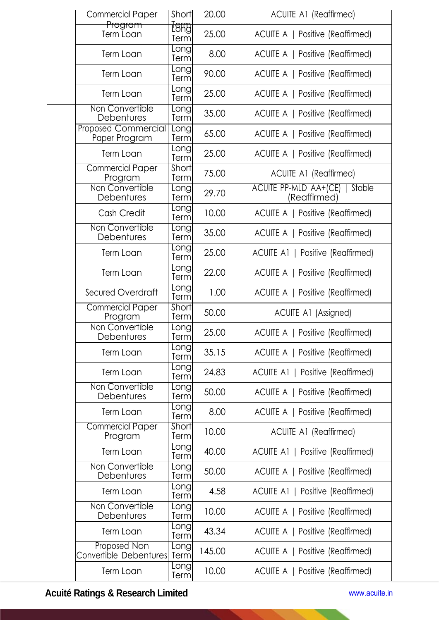| <b>Commercial Paper</b>                       | <b>Short</b>             | 20.00  | <b>ACUITE A1 (Reaffirmed)</b>                     |
|-----------------------------------------------|--------------------------|--------|---------------------------------------------------|
| <del>Program</del><br><b>Term Loan</b>        | <del>Isng</del><br>Terml | 25.00  | ACUITE A   Positive (Reaffirmed)                  |
| <b>Term Loan</b>                              | Long<br>Term             | 8.00   | ACUITE A   Positive (Reaffirmed)                  |
| Term Loan                                     | Long<br>Terml            | 90.00  | ACUITE A   Positive (Reaffirmed)                  |
| Term Loan                                     | Long<br>Term             | 25.00  | ACUITE A   Positive (Reaffirmed)                  |
| Non Convertible<br>Debentures                 | Long<br>Term             | 35.00  | ACUITE A   Positive (Reaffirmed)                  |
| <b>Proposed Commercial</b><br>Paper Program   | Long<br>Term             | 65.00  | ACUITE A   Positive (Reaffirmed)                  |
| <b>Term Loan</b>                              | Long<br>Term             | 25.00  | ACUITE A   Positive (Reaffirmed)                  |
| <b>Commercial Paper</b><br>Program            | Short<br>Term            | 75.00  | <b>ACUITE A1 (Reaffirmed)</b>                     |
| Non Convertible<br>Debentures                 | Long<br>Term             | 29.70  | ACUITE PP-MLD AA+(CE)  <br>Stable<br>(Reaffirmed) |
| Cash Credit                                   | Long<br>Term             | 10.00  | ACUITE A   Positive (Reaffirmed)                  |
| Non Convertible<br>Debentures                 | Longl<br>Term            | 35.00  | ACUITE A   Positive (Reaffirmed)                  |
| Term Loan                                     | Long<br>Term             | 25.00  | ACUITE A1   Positive (Reaffirmed)                 |
| Term Loan                                     | Long<br>Term             | 22.00  | ACUITE A   Positive (Reaffirmed)                  |
| Secured Overdraft                             | Long<br>Term             | 1.00   | ACUITE A   Positive (Reaffirmed)                  |
| <b>Commercial Paper</b><br>Program            | Short<br>Term            | 50.00  | ACUITE A1 (Assigned)                              |
| Non Convertible<br>Debentures                 | Long<br>Term             | 25.00  | ACUITE A   Positive (Reaffirmed)                  |
| Term Loan                                     | Long<br>Term             | 35.15  | ACUITE A   Positive (Reaffirmed)                  |
| Term Loan                                     | Long<br>Term             | 24.83  | ACUITE A1   Positive (Reaffirmed)                 |
| Non Convertible<br>Debentures                 | Long<br>Term             | 50.00  | ACUITE A   Positive (Reaffirmed)                  |
| Term Loan                                     | Long<br>Term             | 8.00   | ACUITE A   Positive (Reaffirmed)                  |
| <b>Commercial Paper</b><br>Program            | Short<br>Term            | 10.00  | <b>ACUITE A1 (Reaffirmed)</b>                     |
| Term Loan                                     | Long<br>Term             | 40.00  | ACUITE A1   Positive (Reaffirmed)                 |
| Non Convertible<br>Debentures                 | Long<br>Term             | 50.00  | ACUITE A   Positive (Reaffirmed)                  |
| Term Loan                                     | Long<br>Term             | 4.58   | ACUITE A1   Positive (Reaffirmed)                 |
| Non Convertible<br>Debentures                 | Eong<br>Term             | 10.00  | ACUITE A   Positive (Reaffirmed)                  |
| <b>Term Loan</b>                              | Long<br>Term             | 43.34  | ACUITE A   Positive (Reaffirmed)                  |
| <b>Proposed Non</b><br>Convertible Debentures | Long<br>Term             | 145.00 | ACUITE A   Positive (Reaffirmed)                  |
| Term Loan                                     | Long<br>Term             | 10.00  | ACUITE A   Positive (Reaffirmed)                  |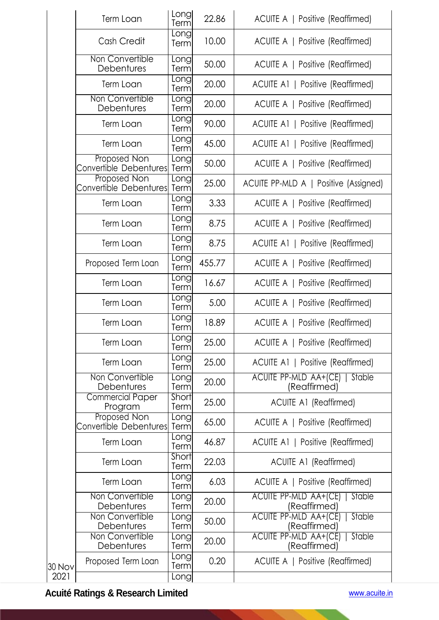|               | Term Loan                                     | Long<br>Term          | 22.86  | ACUITE A   Positive (Reaffirmed)                         |
|---------------|-----------------------------------------------|-----------------------|--------|----------------------------------------------------------|
|               | Cash Credit                                   | Long<br>Term          | 10.00  | ACUITE A   Positive (Reaffirmed)                         |
|               | Non Convertible<br>Debentures                 | Long<br>Term          | 50.00  | ACUITE A   Positive (Reaffirmed)                         |
|               | Term Loan                                     | Longl<br>Term         | 20.00  | ACUITE A1   Positive (Reaffirmed)                        |
|               | Non Convertible<br>Debentures                 | Long<br>Term          | 20.00  | ACUITE A   Positive (Reaffirmed)                         |
|               | Term Loan                                     | Long<br>Term          | 90.00  | ACUITE A1   Positive (Reaffirmed)                        |
|               | Term Loan                                     | Long<br>Term          | 45.00  | ACUITE A1   Positive (Reaffirmed)                        |
|               | <b>Proposed Non</b><br>Convertible Debentures | Longl<br>Term         | 50.00  | ACUITE A   Positive (Reaffirmed)                         |
|               | Proposed Non<br><b>Convertible Debentures</b> | Long<br>Term          | 25.00  | ACUITE PP-MLD A   Positive (Assigned)                    |
|               | Term Loan                                     | Long<br>Term          | 3.33   | ACUITE A   Positive (Reaffirmed)                         |
|               | Term Loan                                     | Long<br>Term          | 8.75   | ACUITE A   Positive (Reaffirmed)                         |
|               | Term Loan                                     | <u>Long</u><br>Term   | 8.75   | ACUITE A1   Positive (Reaffirmed)                        |
|               | Proposed Term Loan                            | Long<br>Term          | 455.77 | ACUITE A   Positive (Reaffirmed)                         |
|               | Term Loan                                     | Long<br>Term          | 16.67  | ACUITE A   Positive (Reaffirmed)                         |
|               | Term Loan                                     | Long<br>Term          | 5.00   | ACUITE A   Positive (Reaffirmed)                         |
|               | Term Loan                                     | Long<br>Term          | 18.89  | ACUITE A   Positive (Reaffirmed)                         |
|               | Term Loan                                     | Long<br>Term          | 25.00  | ACUITE A   Positive (Reaffirmed)                         |
|               | Term Loan                                     | <b>Longl</b><br>Term  | 25.00  | ACUITE A1   Positive (Reaffirmed)                        |
|               | Non Convertible<br>Debentures                 | Long<br>Term          | 20.00  | <b>ACUITE PP-MLD AA+(CE)  </b><br>Stable<br>(Reaffirmed) |
|               | <b>Commercial Paper</b><br>Program            | Short<br>Term         | 25.00  | <b>ACUITE A1 (Reaffirmed)</b>                            |
|               | Proposed Non<br>Convertible Debentures        | Long<br>Term          | 65.00  | ACUITE A   Positive (Reaffirmed)                         |
|               | Term Loan                                     | Longl<br>Term         | 46.87  | ACUITE A1   Positive (Reaffirmed)                        |
|               | Term Loan                                     | Short<br>Term         | 22.03  | <b>ACUITE A1 (Reaffirmed)</b>                            |
|               | <b>Term Loan</b>                              | Long<br>Term          | 6.03   | ACUITE A   Positive (Reaffirmed)                         |
|               | Non Convertible<br>Debentures                 | Long<br>Term          | 20.00  | ACUITE PP-MLD AA+(CE)<br>Stable<br>(Reaffirmed)          |
|               | Non Convertible<br>Debentures                 | <b>L</b> ongl<br>Term | 50.00  | <b>ACUITE PP-MLD AA+(CE)</b><br>Stable<br>(Reaffirmed)   |
|               | Non Convertible<br>Debentures                 | Long<br>Term          | 20.00  | <b>ACUITE PP-MLD AA+(CE)</b><br>Stable<br>(Reaffirmed)   |
| <b>30 Nov</b> | Proposed Term Loan                            | Long<br>Term          | 0.20   | ACUITE A   Positive (Reaffirmed)                         |
| 2021          |                                               | Long                  |        |                                                          |

**Cardinal**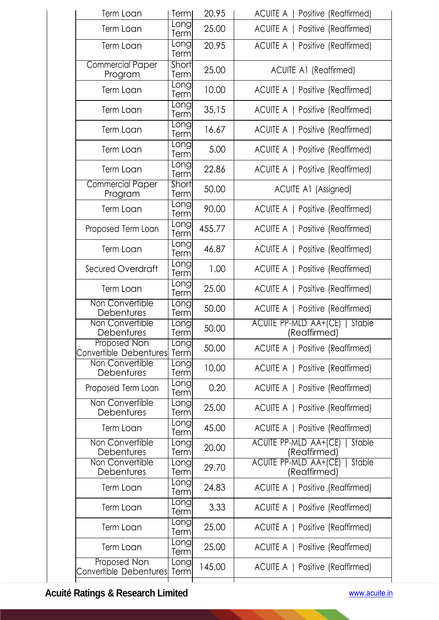| Term Loan                              | <b>Term</b>         | 20.95  | ACUITE A   Positive (Reaffirmed)                       |
|----------------------------------------|---------------------|--------|--------------------------------------------------------|
| <b>Term Loan</b>                       | Long<br>Term        | 25.00  | ACUITE A   Positive (Reaffirmed)                       |
| Term Loan                              | <b>Long</b><br>Term | 20.95  | ACUITE A   Positive (Reaffirmed)                       |
| <b>Commercial Paper</b><br>Program     | Short<br>Term       | 25.00  | <b>ACUITE A1 (Reaffirmed)</b>                          |
| <b>Term Loan</b>                       | Long<br>Term        | 10.00  | ACUITE A   Positive (Reaffirmed)                       |
| Term Loan                              | Long<br>Term        | 35.15  | ACUITE A   Positive (Reaffirmed)                       |
| Term Loan                              | Long<br>Term        | 16.67  | ACUITE A   Positive (Reaffirmed)                       |
| <b>Term Loan</b>                       | <b>Long</b><br>Term | 5.00   | ACUITE A   Positive (Reaffirmed)                       |
| Term Loan                              | Long<br>Term        | 22.86  | ACUITE A   Positive (Reaffirmed)                       |
| <b>Commercial Paper</b><br>Program     | Short<br>Term       | 50.00  | ACUITE A1 (Assigned)                                   |
| <b>Term Loan</b>                       | Long<br>Term        | 90.00  | ACUITE A   Positive (Reaffirmed)                       |
| Proposed Term Loan                     | Long<br>Term        | 455.77 | ACUITE A   Positive (Reaffirmed)                       |
| <b>Term Loan</b>                       | Long<br>Term        | 46.87  | ACUITE A   Positive (Reaffirmed)                       |
| Secured Overdraft                      | Long<br>Term        | 1.00   | ACUITE A   Positive (Reaffirmed)                       |
| Term Loan                              | Long<br>Term        | 25.00  | ACUITE A   Positive (Reaffirmed)                       |
| Non Convertible<br>Debentures          | Long<br>Term        | 50.00  | ACUITE A   Positive (Reaffirmed)                       |
| Non Convertible<br>Debentures          | Long<br>Term        | 50.00  | <b>ACUITE PP-MLD AA+(CE)</b><br>Stable<br>(Reaffirmed) |
| Proposed Non<br>Convertible Debentures | Long<br>Term        | 50.00  | ACUITE A   Positive (Reaffirmed)                       |
| Non Convertible<br>Debentures          | Long<br>Term        | 10.00  | ACUITE A   Positive (Reaffirmed)                       |
| Proposed Term Loan                     | Long<br>Term        | 0.20   | ACUITE A   Positive (Reaffirmed)                       |
| Non Convertible<br>Debentures          | Long<br>Term        | 25.00  | ACUITE A   Positive (Reaffirmed)                       |
| Term Loan                              | Long<br>Term        | 45.00  | ACUITE A   Positive (Reaffirmed)                       |
| Non Convertible<br>Debentures          | Long<br>Term        | 20.00  | ACUITE PP-MLD AA+(CE)  <br>Stable<br>(Reaffirmed)      |
| Non Convertible<br>Debentures          | Long<br>Term        | 29.70  | ACUITE PP-MLD AA+(CE)   Stable<br>(Reaffirmed)         |
| Term Loan                              | Long<br>Term        | 24.83  | ACUITE A   Positive (Reaffirmed)                       |
| Term Loan                              | Long<br>Term        | 3.33   | ACUITE A   Positive (Reaffirmed)                       |
| Term Loan                              | Long<br>Term        | 25.00  | ACUITE A   Positive (Reaffirmed)                       |
| Term Loan                              | Long<br>Term        | 25.00  | ACUITE A   Positive (Reaffirmed)                       |
| Proposed Non<br>Convertible Debentures | Long<br>Term        | 145.00 | ACUITE A   Positive (Reaffirmed)                       |
|                                        |                     |        |                                                        |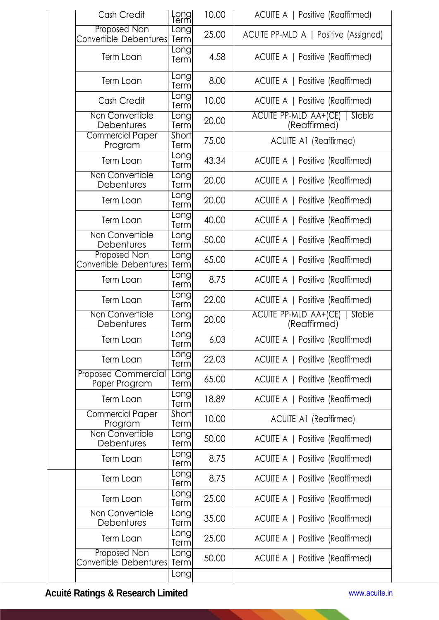| <b>Cash Credit</b>                          | Long<br>Term         | 10.00 | ACUITE A   Positive (Reaffirmed)                      |
|---------------------------------------------|----------------------|-------|-------------------------------------------------------|
| Proposed Non<br>Convertible Debentures      | <b>Long</b><br>Term  | 25.00 | ACUITE PP-MLD A   Positive (Assigned)                 |
| Term Loan                                   | Long<br>Term         | 4.58  | ACUITE A   Positive (Reaffirmed)                      |
| Term Loan                                   | <u>Longl</u><br>Term | 8.00  | ACUITE A   Positive (Reaffirmed)                      |
| Cash Credit                                 | <u>Longl</u><br>Term | 10.00 | ACUITE A   Positive (Reaffirmed)                      |
| Non Convertible<br>Debentures               | <b>Long</b><br>Term  | 20.00 | ACUITE PP-MLD AA+(CE)   Stable<br>(Reaffirmed)        |
| <b>Commercial Paper</b><br>Program          | Short<br>Term        | 75.00 | <b>ACUITE A1 (Reaffirmed)</b>                         |
| Term Loan                                   | <b>L</b> ong<br>Term | 43.34 | ACUITE A   Positive (Reaffirmed)                      |
| Non Convertible<br>Debentures               | Longl<br>Term        | 20.00 | ACUITE A   Positive (Reaffirmed)                      |
| Term Loan                                   | Long<br>Term         | 20.00 | ACUITE A   Positive (Reaffirmed)                      |
| Term Loan                                   | Long<br>Term         | 40.00 | ACUITE A   Positive (Reaffirmed)                      |
| Non Convertible<br>Debentures               | Long<br>Term         | 50.00 | ACUITE A   Positive (Reaffirmed)                      |
| Proposed Non<br>Convertible Debentures      | Long<br>Term         | 65.00 | ACUITE A   Positive (Reaffirmed)                      |
| Term Loan                                   | Long<br>Term         | 8.75  | ACUITE A   Positive (Reaffirmed)                      |
| Term Loan                                   | Long<br>Term         | 22.00 | ACUITE A   Positive (Reaffirmed)                      |
| Non Convertible<br>Debentures               | Long<br>Terml        | 20.00 | <b>ACUITE PP-MLD AA+(CE)   Stable</b><br>(Reaffirmed) |
| <b>Term Loan</b>                            | Long<br>Term         | 6.03  | ACUITE A   Positive (Reaffirmed)                      |
| Term Loan                                   | Long<br>Term         | 22.03 | ACUITE A   Positive (Reaffirmed)                      |
| <b>Proposed Commercial</b><br>Paper Program | Long<br>Term         | 65.00 | ACUITE A   Positive (Reaffirmed)                      |
| Term Loan                                   | Long<br>Term         | 18.89 | ACUITE A   Positive (Reaffirmed)                      |
| <b>Commercial Paper</b><br>Program          | Short<br>Term        | 10.00 | <b>ACUITE A1 (Reaffirmed)</b>                         |
| Non Convertible<br>Debentures               | Long<br>Term         | 50.00 | ACUITE A   Positive (Reaffirmed)                      |
| Term Loan                                   | Longl<br>Term        | 8.75  | ACUITE A   Positive (Reaffirmed)                      |
| Term Loan                                   | Long<br>Term         | 8.75  | ACUITE A   Positive (Reaffirmed)                      |
| Term Loan                                   | Long<br>Term         | 25.00 | ACUITE A   Positive (Reaffirmed)                      |
| Non Convertible<br>Debentures               | Long<br>Term         | 35.00 | ACUITE A   Positive (Reaffirmed)                      |
| Term Loan                                   | Longl<br>Term        | 25.00 | ACUITE A   Positive (Reaffirmed)                      |
| Proposed Non<br>Convertible Debentures      | Long<br>Term         | 50.00 | ACUITE A   Positive (Reaffirmed)                      |
|                                             | Long                 |       |                                                       |

×.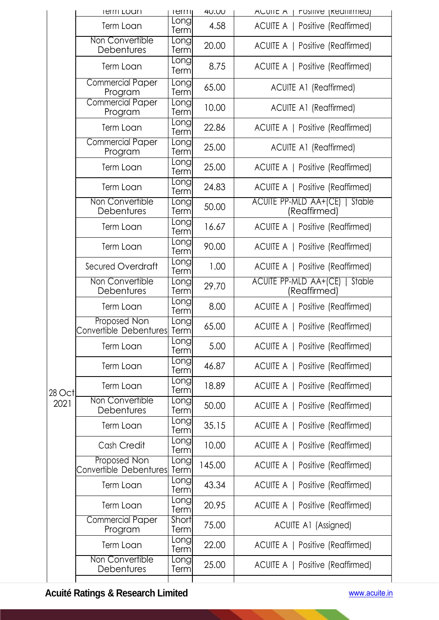|        | <b>IGIIII LOUII</b>                    | ICHII                | 40.00  | AUUIIE A   FOSHIVE (KECHIIITIECI)                 |
|--------|----------------------------------------|----------------------|--------|---------------------------------------------------|
|        | Term Loan                              | Long<br>Term         | 4.58   | ACUITE A   Positive (Reaffirmed)                  |
|        | Non Convertible<br>Debentures          | <b>L</b> ong<br>Term | 20.00  | ACUITE A   Positive (Reaffirmed)                  |
|        | <b>Term Loan</b>                       | <b>Long</b><br>Term  | 8.75   | ACUITE A   Positive (Reaffirmed)                  |
|        | <b>Commercial Paper</b><br>Program     | Long<br>Term         | 65.00  | <b>ACUITE A1 (Reaffirmed)</b>                     |
|        | <b>Commercial Paper</b><br>Program     | <b>L</b> ong<br>Term | 10.00  | <b>ACUITE A1 (Reaffirmed)</b>                     |
|        | Term Loan                              | <b>L</b> ong<br>Term | 22.86  | ACUITE A   Positive (Reaffirmed)                  |
|        | <b>Commercial Paper</b><br>Program     | Long<br>Term         | 25.00  | <b>ACUITE A1 (Reaffirmed)</b>                     |
|        | Term Loan                              | Eong<br>Term         | 25.00  | ACUITE A   Positive (Reaffirmed)                  |
|        | Term Loan                              | <b>Long</b><br>Term  | 24.83  | ACUITE A   Positive (Reaffirmed)                  |
|        | Non Convertible<br>Debentures          | Long<br>Term         | 50.00  | ACUITE PP-MLD AA+(CE)   Stable<br>(Reaffirmed)    |
|        | Term Loan                              | Long<br>Term         | 16.67  | ACUITE A   Positive (Reaffirmed)                  |
|        | <b>Term Loan</b>                       | Long<br>Term         | 90.00  | ACUITE A   Positive (Reaffirmed)                  |
|        | Secured Overdraft                      | Long<br>Term         | 1.00   | ACUITE A   Positive (Reaffirmed)                  |
|        | Non Convertible<br>Debentures          | Long<br>Term         | 29.70  | ACUITE PP-MLD AA+(CE)  <br>Stable<br>(Reaffirmed) |
|        | Term Loan                              | Long<br>Term         | 8.00   | ACUITE A   Positive (Reaffirmed)                  |
|        | Proposed Non<br>Convertible Debentures | Long<br>Term         | 65.00  | ACUITE A   Positive (Reaffirmed)                  |
|        | <b>Term Loan</b>                       | Long<br>Term         | 5.00   | ACUITE A   Positive (Reaffirmed)                  |
|        | Term Loan                              | Long<br>Term         | 46.87  | ACUITE A   Positive (Reaffirmed)                  |
| 28 Oct | Term Loan                              | Eong<br>Term         | 18.89  | ACUITE A   Positive (Reaffirmed)                  |
| 2021   | Non Convertible<br>Debentures          | Long<br>Term         | 50.00  | ACUITE A   Positive (Reaffirmed)                  |
|        | Term Loan                              | Long<br>Term         | 35.15  | ACUITE A   Positive (Reaffirmed)                  |
|        | Cash Credit                            | Long<br>Term         | 10.00  | ACUITE A   Positive (Reaffirmed)                  |
|        | Proposed Non<br>Convertible Debentures | Long<br>Term         | 145.00 | ACUITE A   Positive (Reaffirmed)                  |
|        | Term Loan                              | Long<br>Term         | 43.34  | ACUITE A   Positive (Reaffirmed)                  |
|        | Term Loan                              | Long<br>Term         | 20.95  | ACUITE A   Positive (Reaffirmed)                  |
|        | <b>Commercial Paper</b><br>Program     | <b>Short</b><br>Term | 75.00  | ACUITE A1 (Assigned)                              |
|        | Term Loan                              | Eong<br>Term         | 22.00  | ACUITE A   Positive (Reaffirmed)                  |
|        | Non Convertible<br>Debentures          | Long<br>Term         | 25.00  | ACUITE A   Positive (Reaffirmed)                  |
|        |                                        |                      |        |                                                   |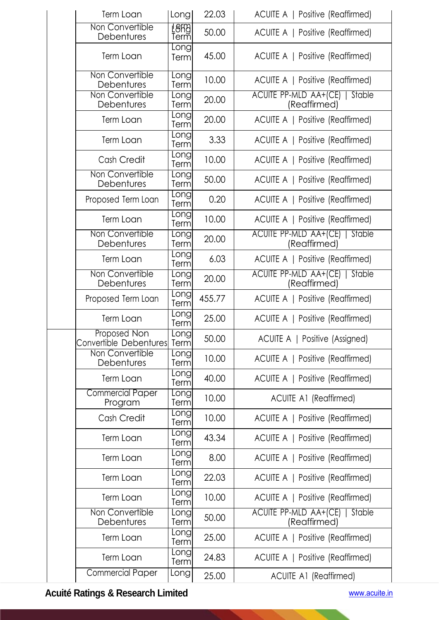| <b>Term Loan</b>                       | Long                | 22.03  | ACUITE A   Positive (Reaffirmed)                      |
|----------------------------------------|---------------------|--------|-------------------------------------------------------|
| Non Convertible<br>Debentures          | $L$ ekg<br>Term     | 50.00  | ACUITE A   Positive (Reaffirmed)                      |
| <b>Term Loan</b>                       | <b>Long</b><br>Term | 45.00  | ACUITE A   Positive (Reaffirmed)                      |
| Non Convertible<br>Debentures          | Long<br>Term        | 10.00  | ACUITE A   Positive (Reaffirmed)                      |
| Non Convertible<br>Debentures          | Long<br>Term        | 20.00  | <b>ACUITE PP-MLD AA+(CE)   Stable</b><br>(Reaffirmed) |
| Term Loan                              | Long<br>Term        | 20.00  | ACUITE A   Positive (Reaffirmed)                      |
| Term Loan                              | Longl<br>Term       | 3.33   | ACUITE A   Positive (Reaffirmed)                      |
| Cash Credit                            | <b>Long</b><br>Term | 10.00  | ACUITE A   Positive (Reaffirmed)                      |
| Non Convertible<br>Debentures          | <b>Long</b><br>Term | 50.00  | ACUITE A   Positive (Reaffirmed)                      |
| Proposed Term Loan                     | <b>Long</b><br>Term | 0.20   | ACUITE A   Positive (Reaffirmed)                      |
| Term Loan                              | Long<br>Term        | 10.00  | ACUITE A   Positive (Reaffirmed)                      |
| Non Convertible<br>Debentures          | [ong<br>Term        | 20.00  | ACUITE PP-MLD AA+(CE)   Stable<br>(Reaffirmed)        |
| Term Loan                              | Long<br>Term        | 6.03   | ACUITE A   Positive (Reaffirmed)                      |
| Non Convertible<br>Debentures          | <b>Long</b><br>Term | 20.00  | ACUITE PP-MLD AA+(CE)   Stable<br>(Reaffirmed)        |
| Proposed Term Loan                     | Longl<br>Term       | 455.77 | ACUITE A   Positive (Reaffirmed)                      |
| Term Loan                              | Long<br>Terml       | 25.00  | ACUITE A   Positive (Reaffirmed)                      |
| Proposed Non<br>Convertible Debentures | Long<br>Terml       | 50.00  | ACUITE A   Positive (Assigned)                        |
| Non Convertible<br>Debentures          | Long<br>Terml       | 10.00  | ACUITE A   Positive (Reaffirmed)                      |
| Term Loan                              | Long<br>Term        | 40.00  | ACUITE A   Positive (Reaffirmed)                      |
| <b>Commercial Paper</b><br>Program     | Long<br>Term        | 10.00  | <b>ACUITE A1 (Reaffirmed)</b>                         |
| Cash Credit                            | Long<br>Term        | 10.00  | ACUITE A   Positive (Reaffirmed)                      |
| Term Loan                              | Long<br>Terml       | 43.34  | ACUITE A   Positive (Reaffirmed)                      |
| Term Loan                              | Longl<br>Term       | 8.00   | ACUITE A   Positive (Reaffirmed)                      |
| Term Loan                              | Long<br>Terml       | 22.03  | ACUITE A   Positive (Reaffirmed)                      |
| Term Loan                              | Long<br>Term        | 10.00  | ACUITE A   Positive (Reaffirmed)                      |
| Non Convertible<br>Debentures          | Long<br>Terml       | 50.00  | ACUITE PP-MLD AA+(CE)   Stable<br>(Reaffirmed)        |
| Term Loan                              | Longl<br>Term       | 25.00  | ACUITE A   Positive (Reaffirmed)                      |
| Term Loan                              | Long<br>Term        | 24.83  | ACUITE A   Positive (Reaffirmed)                      |
| <b>Commercial Paper</b>                | Long                | 25.00  | <b>ACUITE A1 (Reaffirmed)</b>                         |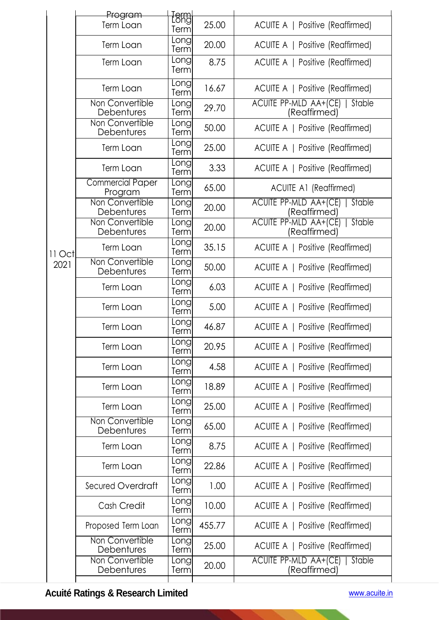|        | Program                            |                      |        |                                                   |
|--------|------------------------------------|----------------------|--------|---------------------------------------------------|
|        | <b>Term Loan</b>                   | Term<br>Long<br>Term | 25.00  | ACUITE A   Positive (Reaffirmed)                  |
|        | <b>Term Loan</b>                   | Long<br>Term         | 20.00  | ACUITE A   Positive (Reaffirmed)                  |
|        | <b>Term Loan</b>                   | Long<br>Term         | 8.75   | ACUITE A   Positive (Reaffirmed)                  |
|        | Term Loan                          | Long<br>Term         | 16.67  | ACUITE A   Positive (Reaffirmed)                  |
|        | Non Convertible<br>Debentures      | Long<br>Term         | 29.70  | ACUITE PP-MLD AA+(CE)  <br>Stable<br>(Reaffirmed) |
|        | Non Convertible<br>Debentures      | Long<br>Term         | 50.00  | ACUITE A   Positive (Reaffirmed)                  |
|        | Term Loan                          | Long<br>Term         | 25.00  | ACUITE A   Positive (Reaffirmed)                  |
|        | <b>Term Loan</b>                   | Long<br>Term         | 3.33   | ACUITE A   Positive (Reaffirmed)                  |
|        | <b>Commercial Paper</b><br>Program | Long<br>Term         | 65.00  | <b>ACUITE A1 (Reaffirmed)</b>                     |
|        | Non Convertible<br>Debentures      | Long<br>Term         | 20.00  | ACUITE PP-MLD AA+(CE)  <br>Stable<br>(Reaffirmed) |
|        | Non Convertible<br>Debentures      | Longl<br>Term        | 20.00  | ACUITE PP-MLD AA+(CE)  <br>Stable<br>(Reaffirmed) |
| 11 Oct | Term Loan                          | Long<br>Term         | 35.15  | ACUITE A   Positive (Reaffirmed)                  |
| 2021   | Non Convertible<br>Debentures      | Long<br>Term         | 50.00  | ACUITE A   Positive (Reaffirmed)                  |
|        | Term Loan                          | Long<br>Term         | 6.03   | ACUITE A   Positive (Reaffirmed)                  |
|        | Term Loan                          | Long<br>Term         | 5.00   | ACUITE A   Positive (Reaffirmed)                  |
|        | <b>Term Loan</b>                   | Long<br>Term         | 46.87  | ACUITE A   Positive (Reaffirmed)                  |
|        | Term Loan                          | Long<br>Term         | 20.95  | ACUITE A   Positive (Reaffirmed)                  |
|        | Term Loan                          | Long<br>Term         | 4.58   | ACUITE A   Positive (Reaffirmed)                  |
|        | <b>Term Loan</b>                   | Long<br>Term         | 18.89  | ACUITE A   Positive (Reaffirmed)                  |
|        | Term Loan                          | Long<br>Term         | 25.00  | ACUITE A   Positive (Reaffirmed)                  |
|        | Non Convertible<br>Debentures      | Long<br>Term         | 65.00  | ACUITE A   Positive (Reaffirmed)                  |
|        | Term Loan                          | Long<br>Term         | 8.75   | ACUITE A   Positive (Reaffirmed)                  |
|        | <b>Term Loan</b>                   | Long<br>Term         | 22.86  | ACUITE A   Positive (Reaffirmed)                  |
|        | Secured Overdraft                  | Long<br>Term         | 1.00   | ACUITE A   Positive (Reaffirmed)                  |
|        | Cash Credit                        | Long<br>Term         | 10.00  | ACUITE A   Positive (Reaffirmed)                  |
|        | Proposed Term Loan                 | Long<br>Term         | 455.77 | ACUITE A   Positive (Reaffirmed)                  |
|        | Non Convertible<br>Debentures      | Longl<br>Term        | 25.00  | ACUITE A   Positive (Reaffirmed)                  |
|        | Non Convertible<br>Debentures      | Long<br>Term         | 20.00  | ACUITE PP-MLD AA+(CE)   Stable<br>(Reaffirmed)    |
|        |                                    |                      |        |                                                   |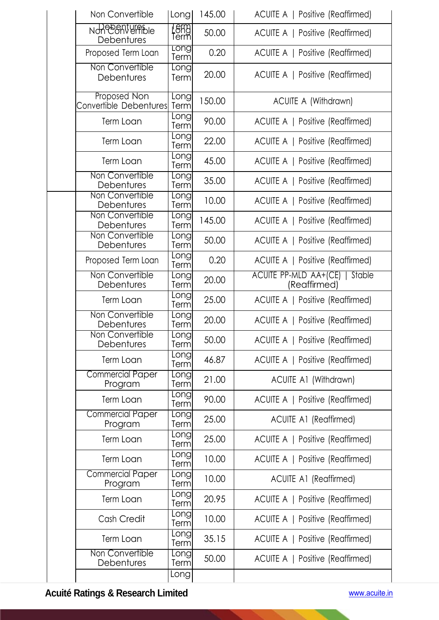| Non Convertible                            | Long                | 145.00 | ACUITE A   Positive (Reaffirmed)                      |
|--------------------------------------------|---------------------|--------|-------------------------------------------------------|
| и <del>суарери Ашрр</del> ів<br>Debentures | Leng<br>Term        | 50.00  | ACUITE A   Positive (Reaffirmed)                      |
| Proposed Term Loan                         | Long<br>Term        | 0.20   | ACUITE A   Positive (Reaffirmed)                      |
| Non Convertible<br>Debentures              | Long<br>Term        | 20.00  | ACUITE A   Positive (Reaffirmed)                      |
| Proposed Non<br>Convertible Debentures     | Long<br>Term        | 150.00 | <b>ACUITE A (Withdrawn)</b>                           |
| Term Loan                                  | Long<br>Term        | 90.00  | ACUITE A   Positive (Reaffirmed)                      |
| Term Loan                                  | Long<br>Term        | 22.00  | ACUITE A   Positive (Reaffirmed)                      |
| Term Loan                                  | Long<br>Term        | 45.00  | ACUITE A   Positive (Reaffirmed)                      |
| Non Convertible<br>Debentures              | Long<br>Term        | 35.00  | ACUITE A   Positive (Reaffirmed)                      |
| Non Convertible<br>Debentures              | Long<br>Term        | 10.00  | ACUITE A   Positive (Reaffirmed)                      |
| Non Convertible<br>Debentures              | Long<br>Term        | 145.00 | ACUITE A   Positive (Reaffirmed)                      |
| Non Convertible<br>Debentures              | Long<br>Term        | 50.00  | ACUITE A   Positive (Reaffirmed)                      |
| Proposed Term Loan                         | Long<br>Term        | 0.20   | ACUITE A   Positive (Reaffirmed)                      |
| Non Convertible<br>Debentures              | Long<br>Term        | 20.00  | <b>ACUITE PP-MLD AA+(CE)   Stable</b><br>(Reaffirmed) |
| Term Loan                                  | Long<br>Term        | 25.00  | ACUITE A   Positive (Reaffirmed)                      |
| Non Convertible<br>Debentures              | Long<br>Term        | 20.00  | ACUITE A   Positive (Reaffirmed)                      |
| Non Convertible<br>Debentures              | Long<br>Terml       | 50.00  | ACUITE A   Positive (Reaffirmed)                      |
| Term Loan                                  | Long<br>Term        | 46.87  | ACUITE A   Positive (Reaffirmed)                      |
| <b>Commercial Paper</b><br>Program         | Long<br>Term        | 21.00  | ACUITE A1 (Withdrawn)                                 |
| Term Loan                                  | Long<br>Term        | 90.00  | ACUITE A   Positive (Reaffirmed)                      |
| <b>Commercial Paper</b><br>Program         | <b>Long</b><br>Term | 25.00  | <b>ACUITE A1 (Reaffirmed)</b>                         |
| Term Loan                                  | Long<br>Term        | 25.00  | ACUITE A   Positive (Reaffirmed)                      |
| Term Loan                                  | Long<br>Term        | 10.00  | ACUITE A   Positive (Reaffirmed)                      |
| <b>Commercial Paper</b><br>Program         | Long<br>Term        | 10.00  | <b>ACUITE A1 (Reaffirmed)</b>                         |
| Term Loan                                  | Long<br>Term        | 20.95  | ACUITE A   Positive (Reaffirmed)                      |
| Cash Credit                                | Long<br>Term        | 10.00  | ACUITE A   Positive (Reaffirmed)                      |
| Term Loan                                  | <b>Long</b><br>Term | 35.15  | ACUITE A   Positive (Reaffirmed)                      |
| Non Convertible<br>Debentures              | Long<br>Term        | 50.00  | ACUITE A   Positive (Reaffirmed)                      |
|                                            | Long                |        |                                                       |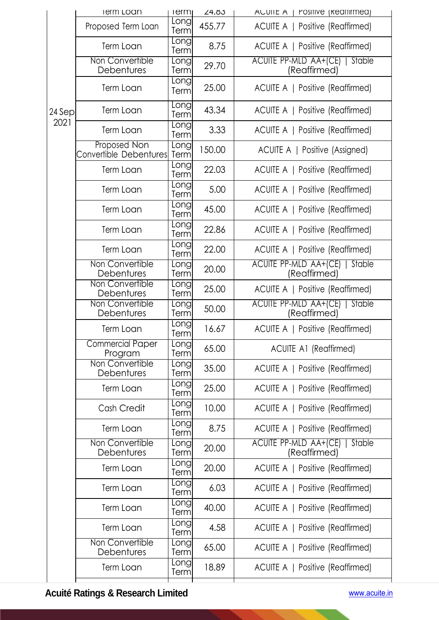|        | <b>IBIIII LOUII</b>                    | lerm                | 24.03  | AUUIIL A   POSITIVE (KECITIITTIECI)               |
|--------|----------------------------------------|---------------------|--------|---------------------------------------------------|
|        | Proposed Term Loan                     | Long<br>Term        | 455.77 | ACUITE A   Positive (Reaffirmed)                  |
|        | Term Loan                              | Longl<br>Term       | 8.75   | ACUITE A   Positive (Reaffirmed)                  |
|        | Non Convertible<br>Debentures          | Long<br>Term        | 29.70  | ACUITE PP-MLD AA+(CE)  <br>Stable<br>(Reaffirmed) |
|        | Term Loan                              | Long<br>Term        | 25.00  | ACUITE A   Positive (Reaffirmed)                  |
| 24 Sep | Term Loan                              | Long<br>Term        | 43.34  | ACUITE A   Positive (Reaffirmed)                  |
| 2021   | <b>Term Loan</b>                       | Long<br>Term        | 3.33   | ACUITE A   Positive (Reaffirmed)                  |
|        | Proposed Non<br>Convertible Debentures | Long<br>Term        | 150.00 | ACUITE A   Positive (Assigned)                    |
|        | Term Loan                              | Long<br>Term        | 22.03  | ACUITE A   Positive (Reaffirmed)                  |
|        | Term Loan                              | Long<br>Term        | 5.00   | ACUITE A   Positive (Reaffirmed)                  |
|        | Term Loan                              | Long<br>Term        | 45.00  | ACUITE A   Positive (Reaffirmed)                  |
|        | Term Loan                              | Long<br>Term        | 22.86  | ACUITE A   Positive (Reaffirmed)                  |
|        | Term Loan                              | Long<br>Terml       | 22.00  | ACUITE A   Positive (Reaffirmed)                  |
|        | Non Convertible<br>Debentures          | Long<br>Term        | 20.00  | ACUITE PP-MLD AA+(CE)  <br>Stable<br>(Reaffirmed) |
|        | Non Convertible<br>Debentures          | Longl<br>Term       | 25.00  | ACUITE A   Positive (Reaffirmed)                  |
|        | Non Convertible<br>Debentures          | Long<br>Term        | 50.00  | ACUITE PP-MLD AA+(CE)  <br>Stable<br>(Reaffirmed) |
|        | Term Loan                              | <b>Long</b><br>Term | 16.67  | ACUITE A   Positive (Reaffirmed)                  |
|        | <b>Commercial Paper</b><br>Program     | Long<br>Term        | 65.00  | <b>ACUITE A1 (Reaffirmed)</b>                     |
|        | Non Convertible<br>Debentures          | Long<br>Term        | 35.00  | ACUITE A   Positive (Reaffirmed)                  |
|        | Term Loan                              | <b>Long</b><br>Term | 25.00  | ACUITE A   Positive (Reaffirmed)                  |
|        | Cash Credit                            | Long<br>Term        | 10.00  | ACUITE A   Positive (Reaffirmed)                  |
|        | Term Loan                              | Long<br>Term        | 8.75   | ACUITE A   Positive (Reaffirmed)                  |
|        | Non Convertible<br>Debentures          | <b>Long</b><br>Term | 20.00  | ACUITE PP-MLD AA+(CE)   Stable<br>(Reaffirmed)    |
|        | <b>Term Loan</b>                       | <b>Long</b><br>Term | 20.00  | ACUITE A   Positive (Reaffirmed)                  |
|        | Term Loan                              | Long<br>Term        | 6.03   | ACUITE A   Positive (Reaffirmed)                  |
|        | Term Loan                              | Long<br>Term        | 40.00  | ACUITE A   Positive (Reaffirmed)                  |
|        | Term Loan                              | Long<br>Term        | 4.58   | ACUITE A   Positive (Reaffirmed)                  |
|        | Non Convertible<br>Debentures          | Long<br>Term        | 65.00  | ACUITE A   Positive (Reaffirmed)                  |
|        | Term Loan                              | Long<br>Term        | 18.89  | ACUITE A   Positive (Reaffirmed)                  |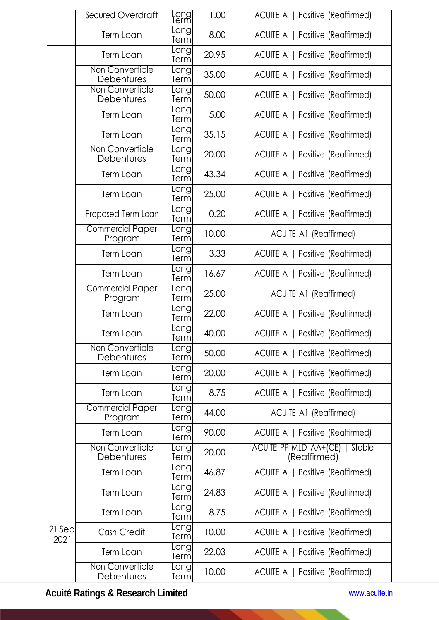|                | Secured Overdraft                  | Long<br>Term        | 1.00  | ACUITE A   Positive (Reaffirmed)               |
|----------------|------------------------------------|---------------------|-------|------------------------------------------------|
|                | Term Loan                          | Long<br>Term        | 8.00  | ACUITE A   Positive (Reaffirmed)               |
|                | Term Loan                          | Long<br>Term        | 20.95 | ACUITE A   Positive (Reaffirmed)               |
|                | Non Convertible<br>Debentures      | Long<br>Term        | 35.00 | ACUITE A   Positive (Reaffirmed)               |
|                | Non Convertible<br>Debentures      | Long<br>Term        | 50.00 | ACUITE A   Positive (Reaffirmed)               |
|                | Term Loan                          | Long<br>Term        | 5.00  | ACUITE A   Positive (Reaffirmed)               |
|                | Term Loan                          | Long<br>Term        | 35.15 | ACUITE A   Positive (Reaffirmed)               |
|                | Non Convertible<br>Debentures      | Long<br>Term        | 20.00 | ACUITE A   Positive (Reaffirmed)               |
|                | Term Loan                          | Long<br>Term        | 43.34 | ACUITE A   Positive (Reaffirmed)               |
|                | Term Loan                          | Long<br>Term        | 25.00 | ACUITE A   Positive (Reaffirmed)               |
|                | Proposed Term Loan                 | Longl<br>Term       | 0.20  | ACUITE A   Positive (Reaffirmed)               |
|                | <b>Commercial Paper</b><br>Program | Long<br>Term        | 10.00 | <b>ACUITE A1 (Reaffirmed)</b>                  |
|                | Term Loan                          | Long<br>Term        | 3.33  | ACUITE A   Positive (Reaffirmed)               |
|                | Term Loan                          | Long<br>Term        | 16.67 | ACUITE A   Positive (Reaffirmed)               |
|                | <b>Commercial Paper</b><br>Program | Long<br>Term        | 25.00 | <b>ACUITE A1 (Reaffirmed)</b>                  |
|                | Term Loan                          | Long<br>Term        | 22.00 | ACUITE A   Positive (Reaffirmed)               |
|                | Term Loan                          | <b>Long</b><br>Term | 40.00 | ACUITE A   Positive (Reaffirmed)               |
|                | Non Convertible<br>Debentures      | Long<br>Term        | 50.00 | ACUITE A   Positive (Reaffirmed)               |
|                | Term Loan                          | Long<br>Term        | 20.00 | ACUITE A   Positive (Reaffirmed)               |
|                | Term Loan                          | Long<br>Term        | 8.75  | ACUITE A   Positive (Reaffirmed)               |
|                | <b>Commercial Paper</b><br>Program | Long<br>Term        | 44.00 | <b>ACUITE A1 (Reaffirmed)</b>                  |
|                | Term Loan                          | Long<br>Term        | 90.00 | ACUITE A   Positive (Reaffirmed)               |
|                | Non Convertible<br>Debentures      | <b>Long</b><br>Term | 20.00 | ACUITE PP-MLD AA+(CE)   Stable<br>(Reaffirmed) |
|                | Term Loan                          | Long<br>Term        | 46.87 | ACUITE A   Positive (Reaffirmed)               |
|                | Term Loan                          | Longl<br>Term       | 24.83 | ACUITE A   Positive (Reaffirmed)               |
|                | Term Loan                          | Longl<br>Term       | 8.75  | ACUITE A   Positive (Reaffirmed)               |
| 21 Sep<br>2021 | Cash Credit                        | Long<br>Term        | 10.00 | ACUITE A   Positive (Reaffirmed)               |
|                | Term Loan                          | Longl<br>Term       | 22.03 | ACUITE A   Positive (Reaffirmed)               |
|                | Non Convertible<br>Debentures      | Long<br>Term        | 10.00 | ACUITE A   Positive (Reaffirmed)               |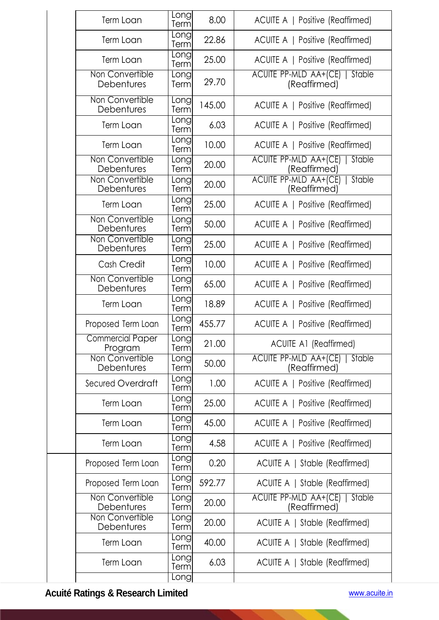| <b>Term Loan</b>                   | Long<br>Term               | 8.00   | ACUITE A   Positive (Reaffirmed)                  |
|------------------------------------|----------------------------|--------|---------------------------------------------------|
| Term Loan                          | Longl<br>Term              | 22.86  | ACUITE A   Positive (Reaffirmed)                  |
| Term Loan                          | Long<br>Term               | 25.00  | ACUITE A   Positive (Reaffirmed)                  |
| Non Convertible<br>Debentures      | Longl<br>Term              | 29.70  | ACUITE PP-MLD AA+(CE)   Stable<br>(Reaffirmed)    |
| Non Convertible<br>Debentures      | Long<br>Term               | 145.00 | ACUITE A   Positive (Reaffirmed)                  |
| Term Loan                          | Long<br>Term               | 6.03   | ACUITE A   Positive (Reaffirmed)                  |
| <b>Term Loan</b>                   | Long<br>Term               | 10.00  | ACUITE A   Positive (Reaffirmed)                  |
| Non Convertible<br>Debentures      | <b>Long</b><br><b>Term</b> | 20.00  | ACUITE PP-MLD AA+(CE)  <br>Stable<br>(Reaffirmed) |
| Non Convertible<br>Debentures      | Long<br>Term               | 20.00  | ACUITE PP-MLD AA+(CE)   Stable<br>(Reaffirmed)    |
| Term Loan                          | Long<br><b>Term</b>        | 25.00  | ACUITE A   Positive (Reaffirmed)                  |
| Non Convertible<br>Debentures      | Long<br>Term               | 50.00  | ACUITE A   Positive (Reaffirmed)                  |
| Non Convertible<br>Debentures      | Long<br>Term               | 25.00  | ACUITE A   Positive (Reaffirmed)                  |
| Cash Credit                        | Long<br>Term               | 10.00  | ACUITE A   Positive (Reaffirmed)                  |
| Non Convertible<br>Debentures      | Long<br>Term               | 65.00  | ACUITE A   Positive (Reaffirmed)                  |
| Term Loan                          | Longl<br>Term              | 18.89  | ACUITE A   Positive (Reaffirmed)                  |
| Proposed Term Loan                 | Long<br>Term               | 455.77 | ACUITE A   Positive (Reaffirmed)                  |
| <b>Commercial Paper</b><br>Program | ong<br>Term                | 21.00  | <b>ACUITE A1 (Reaffirmed)</b>                     |
| Non Convertible<br>Debentures      | <b>Long</b><br>Term        | 50.00  | ACUITE PP-MLD AA+(CE)   Stable<br>(Reaffirmed)    |
| Secured Overdraft                  | Long<br>Term               | 1.00   | ACUITE A   Positive (Reaffirmed)                  |
| <b>Term Loan</b>                   | Long<br>Terml              | 25.00  | ACUITE A   Positive (Reaffirmed)                  |
| <b>Term Loan</b>                   | Longl<br>Term              | 45.00  | ACUITE A   Positive (Reaffirmed)                  |
| Term Loan                          | Long<br>Term               | 4.58   | ACUITE A   Positive (Reaffirmed)                  |
| Proposed Term Loan                 | Long<br>Term               | 0.20   | ACUITE A   Stable (Reaffirmed)                    |
| Proposed Term Loan                 | Long<br>Term               | 592.77 | ACUITE A   Stable (Reaffirmed)                    |
| Non Convertible<br>Debentures      | Longl<br>Term              | 20.00  | ACUITE PP-MLD AA+(CE)   Stable<br>(Reaffirmed)    |
| Non Convertible<br>Debentures      | Long<br>Term               | 20.00  | ACUITE A   Stable (Reaffirmed)                    |
| Term Loan                          | Long<br>Term               | 40.00  | ACUITE A   Stable (Reaffirmed)                    |
| Term Loan                          | Long<br>Term               | 6.03   | ACUITE A   Stable (Reaffirmed)                    |
|                                    | Long                       |        |                                                   |

×.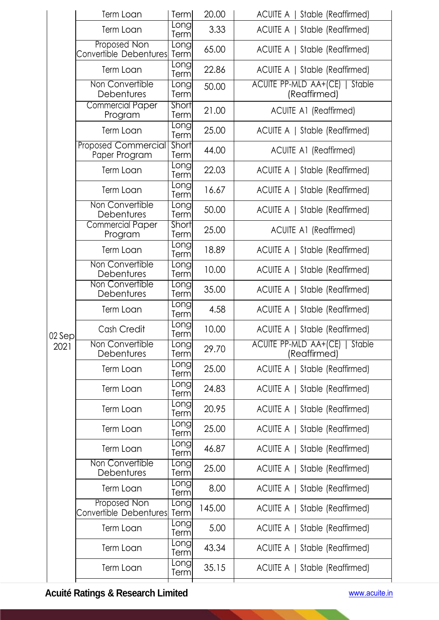|        | Term Loan                                     | Term                | 20.00  | ACUITE A  <br>Stable (Reaffirmed)                        |
|--------|-----------------------------------------------|---------------------|--------|----------------------------------------------------------|
|        | Term Loan                                     | Long<br>Term        | 3.33   | ACUITE A   Stable (Reaffirmed)                           |
|        | Proposed Non<br><b>Convertible Debentures</b> | Long<br>Term        | 65.00  | ACUITE A   Stable (Reaffirmed)                           |
|        | Term Loan                                     | Long<br>Term        | 22.86  | ACUITE A   Stable (Reaffirmed)                           |
|        | Non Convertible<br>Debentures                 | Long<br>Term        | 50.00  | <b>ACUITE PP-MLD AA+(CE)  </b><br>Stable<br>(Reaffirmed) |
|        | <b>Commercial Paper</b><br>Program            | Short<br>Term       | 21.00  | <b>ACUITE A1 (Reaffirmed)</b>                            |
|        | <b>Term Loan</b>                              | Longl<br>Term       | 25.00  | ACUITE A   Stable (Reaffirmed)                           |
|        | <b>Proposed Commercial</b><br>Paper Program   | Short<br>Term       | 44.00  | <b>ACUITE A1 (Reaffirmed)</b>                            |
|        | <b>Term Loan</b>                              | Long<br>Term        | 22.03  | ACUITE A   Stable (Reaffirmed)                           |
|        | Term Loan                                     | Long<br>Term        | 16.67  | ACUITE A   Stable (Reaffirmed)                           |
|        | Non Convertible<br>Debentures                 | Long<br>Term        | 50.00  | ACUITE A   Stable (Reaffirmed)                           |
|        | <b>Commercial Paper</b><br>Program            | Short<br>Term       | 25.00  | <b>ACUITE A1 (Reaffirmed)</b>                            |
|        | <b>Term Loan</b>                              | Long<br>Term        | 18.89  | ACUITE A   Stable (Reaffirmed)                           |
|        | Non Convertible<br>Debentures                 | Longl<br>Term       | 10.00  | ACUITE A   Stable (Reaffirmed)                           |
|        | Non Convertible<br>Debentures                 | Long<br>Term        | 35.00  | ACUITE A   Stable (Reaffirmed)                           |
|        | Term Loan                                     | Longl<br>Term       | 4.58   | ACUITE A   Stable (Reaffirmed)                           |
| 02 Sep | Cash Credit                                   | Long<br>Term        | 10.00  | ACUITE A   Stable (Reaffirmed)                           |
| 2021   | Non Convertible<br>Debentures                 | Long<br>Term        | 29.70  | ACUITE PP-MLD AA+(CE)   Stable<br>(Reaffirmed)           |
|        | Term Loan                                     | Long<br>Term        | 25.00  | ACUITE A   Stable (Reaffirmed)                           |
|        | Term Loan                                     | Long<br>Term        | 24.83  | ACUITE A   Stable (Reaffirmed)                           |
|        | Term Loan                                     | Long<br>Term        | 20.95  | ACUITE A   Stable (Reaffirmed)                           |
|        | Term Loan                                     | Longl<br>Term       | 25.00  | ACUITE A   Stable (Reaffirmed)                           |
|        | Term Loan                                     | Long<br>Term        | 46.87  | ACUITE A   Stable (Reaffirmed)                           |
|        | Non Convertible<br>Debentures                 | Longl<br>Term       | 25.00  | ACUITE A   Stable (Reaffirmed)                           |
|        | Term Loan                                     | Long<br>Term        | 8.00   | ACUITE A   Stable (Reaffirmed)                           |
|        | <b>Proposed Non</b><br>Convertible Debentures | Long<br>Term        | 145.00 | ACUITE A   Stable (Reaffirmed)                           |
|        | Term Loan                                     | Long<br>Term        | 5.00   | ACUITE A   Stable (Reaffirmed)                           |
|        | Term Loan                                     | Long<br>Term        | 43.34  | ACUITE A   Stable (Reaffirmed)                           |
|        | Term Loan                                     | <b>Long</b><br>Term | 35.15  | ACUITE A   Stable (Reaffirmed)                           |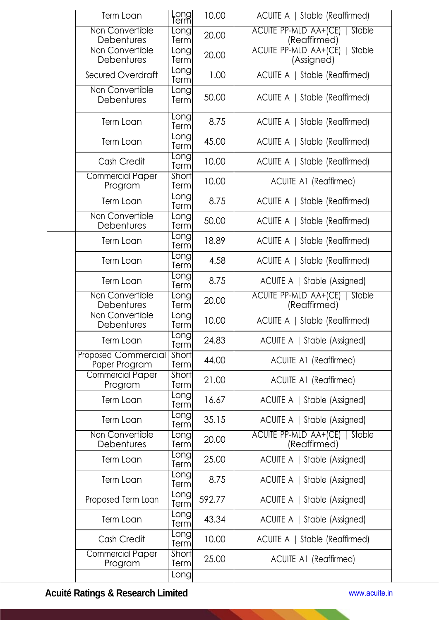| <b>Term Loan</b>                            | Long<br>Term   | 10.00  | ACUITE A   Stable (Reaffirmed)                         |
|---------------------------------------------|----------------|--------|--------------------------------------------------------|
| Non Convertible<br>Debentures               | _ong<br>Term   | 20.00  | <b>ACUITE PP-MLD AA+(CE)</b><br>Stable<br>(Reaffirmed) |
| Non Convertible<br>Debentures               | Long<br>Term   | 20.00  | ACUITE PP-MLD AA+(CE)  <br>Stable<br>(Assigned)        |
| <b>Secured Overdraft</b>                    | Longl<br>Term  | 1.00   | ACUITE A   Stable (Reaffirmed)                         |
| Non Convertible<br>Debentures               | Long<br>Terml  | 50.00  | ACUITE A   Stable (Reaffirmed)                         |
| Term Loan                                   | Long<br>Term   | 8.75   | ACUITE A   Stable (Reaffirmed)                         |
| <b>Term Loan</b>                            | Longl<br>Term  | 45.00  | ACUITE A   Stable (Reaffirmed)                         |
| Cash Credit                                 | Long<br>Term   | 10.00  | ACUITE A   Stable (Reaffirmed)                         |
| <b>Commercial Paper</b><br>Program          | Short<br>Term  | 10.00  | <b>ACUITE A1 (Reaffirmed)</b>                          |
| Term Loan                                   | Long<br>Term   | 8.75   | ACUITE A   Stable (Reaffirmed)                         |
| Non Convertible<br>Debentures               | ong<br>Term    | 50.00  | ACUITE A   Stable (Reaffirmed)                         |
| Term Loan                                   | Long<br>Term   | 18.89  | ACUITE A   Stable (Reaffirmed)                         |
| Term Loan                                   | Long <br>Term  | 4.58   | ACUITE A   Stable (Reaffirmed)                         |
| Term Loan                                   | Long<br>Term   | 8.75   | ACUITE A   Stable (Assigned)                           |
| Non Convertible<br>Debentures               | ong<br>Terml   | 20.00  | ACUITE PP-MLD AA+(CE)  <br>Stable<br>(Reaffirmed)      |
| Non Convertible<br>Debentures               | Longl<br>Terml | 10.00  | ACUITE A   Stable (Reaffirmed)                         |
| Term Loan                                   | Long<br>Term   | 24.83  | ACUITE A   Stable (Assigned)                           |
| <b>Proposed Commercial</b><br>Paper Program | Short<br>Term  | 44.00  | <b>ACUITE A1 (Reaffirmed)</b>                          |
| <b>Commercial Paper</b><br>Program          | Short<br>Term  | 21.00  | <b>ACUITE A1 (Reaffirmed)</b>                          |
| Term Loan                                   | Long<br>Term   | 16.67  | ACUITE A   Stable (Assigned)                           |
| Term Loan                                   | Long<br>Term   | 35.15  | ACUITE A   Stable (Assigned)                           |
| Non Convertible<br>Debentures               | Long<br>Term   | 20.00  | <b>ACUITE PP-MLD AA+(CE)   Stable</b><br>(Reaffirmed)  |
| Term Loan                                   | Long<br>Term   | 25.00  | ACUITE A   Stable (Assigned)                           |
| Term Loan                                   | Long<br>Term   | 8.75   | ACUITE A   Stable (Assigned)                           |
| Proposed Term Loan                          | Long<br>Term   | 592.77 | ACUITE A   Stable (Assigned)                           |
| Term Loan                                   | Long<br>Term   | 43.34  | ACUITE A   Stable (Assigned)                           |
| Cash Credit                                 | Long<br>Term   | 10.00  | ACUITE A   Stable (Reaffirmed)                         |
| <b>Commercial Paper</b><br>Program          | Short<br>Term  | 25.00  | <b>ACUITE A1 (Reaffirmed)</b>                          |
|                                             | Long           |        |                                                        |

×.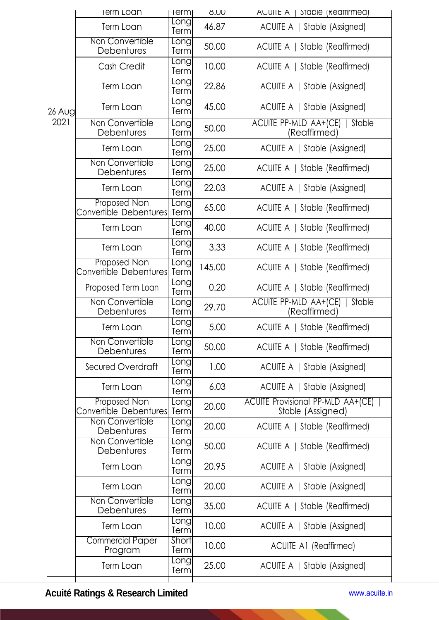|        | <b>Ierm Loan</b>                       | <b>Ierm</b>         | <b>UU.</b> | ACUIIL A   STADIE (Keattirmea)                                  |
|--------|----------------------------------------|---------------------|------------|-----------------------------------------------------------------|
|        | <b>Term Loan</b>                       | Long<br>Term        | 46.87      | ACUITE A   Stable (Assigned)                                    |
|        | Non Convertible<br><b>Debentures</b>   | <b>Long</b><br>Term | 50.00      | ACUITE A   Stable (Reaffirmed)                                  |
|        | Cash Credit                            | Long<br>Term        | 10.00      | ACUITE A   Stable (Reaffirmed)                                  |
|        | Term Loan                              | Long<br>Term        | 22.86      | ACUITE A   Stable (Assigned)                                    |
| 26 Aug | Term Loan                              | Longl<br>Term       | 45.00      | ACUITE A   Stable (Assigned)                                    |
| 2021   | Non Convertible<br>Debentures          | Long<br>Term        | 50.00      | ACUITE PP-MLD AA+(CE)   Stable<br>(Reaffirmed)                  |
|        | Term Loan                              | Long<br>Term        | 25.00      | ACUITE A   Stable (Assigned)                                    |
|        | Non Convertible<br><b>Debentures</b>   | Long<br>Term        | 25.00      | ACUITE A   Stable (Reaffirmed)                                  |
|        | Term Loan                              | Long<br>Term        | 22.03      | ACUITE A   Stable (Assigned)                                    |
|        | Proposed Non<br>Convertible Debentures | Long<br>Term        | 65.00      | ACUITE A   Stable (Reaffirmed)                                  |
|        | Term Loan                              | Longl<br>Term       | 40.00      | ACUITE A   Stable (Reaffirmed)                                  |
|        | Term Loan                              | Long<br>Term        | 3.33       | ACUITE A   Stable (Reaffirmed)                                  |
|        | Proposed Non<br>Convertible Debentures | Long<br>Term        | 145.00     | ACUITE A   Stable (Reaffirmed)                                  |
|        | Proposed Term Loan                     | Long<br>Term        | 0.20       | ACUITE A   Stable (Reaffirmed)                                  |
|        | Non Convertible<br>Debentures          | Long<br>Term        | 29.70      | ACUITE PP-MLD AA+(CE)   Stable<br>(Reaffirmed)                  |
|        | <b>Term Loan</b>                       | Long<br>Term        | 5.00       | ACUITE A   Stable (Reaffirmed)                                  |
|        | Non Convertible<br>Debentures          | Long<br>Term        | 50.00      | ACUITE A   Stable (Reaffirmed)                                  |
|        | <b>Secured Overdraft</b>               | Long<br>Term        | 1.00       | ACUITE A   Stable (Assigned)                                    |
|        | Term Loan                              | Long<br>Term        | 6.03       | ACUITE A   Stable (Assigned)                                    |
|        | Proposed Non<br>Convertible Debentures | Long<br>Term        | 20.00      | <b>ACUITE Provisional PP-MLD AA+(CE)  </b><br>Stable (Assigned) |
|        | Non Convertible<br><b>Debentures</b>   | Long<br>Term        | 20.00      | ACUITE A   Stable (Reaffirmed)                                  |
|        | Non Convertible<br>Debentures          | Long<br>Term        | 50.00      | ACUITE A   Stable (Reaffirmed)                                  |
|        | Term Loan                              | Long<br>Term        | 20.95      | ACUITE A   Stable (Assigned)                                    |
|        | Term Loan                              | Longl<br>Term       | 20.00      | ACUITE A   Stable (Assigned)                                    |
|        | Non Convertible<br>Debentures          | Long<br>Term        | 35.00      | ACUITE A   Stable (Reaffirmed)                                  |
|        | Term Loan                              | Long<br>Term        | 10.00      | ACUITE A   Stable (Assigned)                                    |
|        | <b>Commercial Paper</b><br>Program     | Short<br>Term       | 10.00      | <b>ACUITE A1 (Reaffirmed)</b>                                   |
|        | <b>Term Loan</b>                       | Long<br>Term        | 25.00      | ACUITE A   Stable (Assigned)                                    |
|        |                                        |                     |            |                                                                 |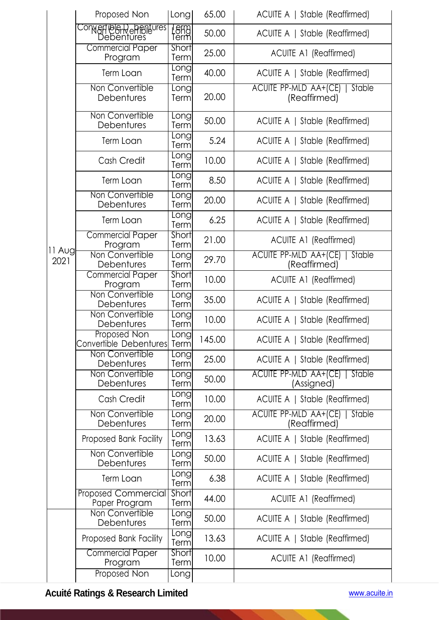|                | Proposed Non                                | Long                 | 65.00  | ACUITE A   Stable (Reaffirmed)                      |
|----------------|---------------------------------------------|----------------------|--------|-----------------------------------------------------|
|                | Convertible D. bentures<br>Debentures       | <b>LSHG</b><br>Term  | 50.00  | ACUITE A   Stable (Reaffirmed)                      |
|                | <b>Commercial Paper</b><br>Program          | Short<br>Term        | 25.00  | <b>ACUITE A1 (Reaffirmed)</b>                       |
|                | Term Loan                                   | Long<br>Term         | 40.00  | ACUITE A   Stable (Reaffirmed)                      |
|                | Non Convertible<br>Debentures               | Long<br>Term         | 20.00  | ACUITE PP-MLD AA+(CE)  <br>Stable<br>(Reaffirmed)   |
|                | Non Convertible<br>Debentures               | Long<br>Term         | 50.00  | ACUITE A   Stable (Reaffirmed)                      |
|                | Term Loan                                   | Eong<br>Term         | 5.24   | ACUITE A   Stable (Reaffirmed)                      |
|                | Cash Credit                                 | Long<br>Term         | 10.00  | ACUITE A   Stable (Reaffirmed)                      |
|                | Term Loan                                   | <b>Long</b><br>Term  | 8.50   | ACUITE A   Stable (Reaffirmed)                      |
|                | Non Convertible<br>Debentures               | Long<br>Term         | 20.00  | ACUITE A   Stable (Reaffirmed)                      |
|                | Term Loan                                   | Longl<br>Term        | 6.25   | ACUITE A   Stable (Reaffirmed)                      |
|                | <b>Commercial Paper</b><br>Program          | Short<br>Term        | 21.00  | ACUITE A1 (Reaffirmed)                              |
| 11 Aug<br>2021 | Non Convertible<br>Debentures               | <u>Longl</u><br>Term | 29.70  | ACUITE PP-MLD AA+(CE)   Stable<br>(Reaffirmed)      |
|                | <b>Commercial Paper</b><br>Program          | Short<br>Term        | 10.00  | <b>ACUITE A1 (Reaffirmed)</b>                       |
|                | Non Convertible<br>Debentures               | Long<br>Term         | 35.00  | ACUITE A   Stable (Reaffirmed)                      |
|                | Non Convertible<br>Debentures               | Long<br>Term         | 10.00  | ACUITE A   Stable (Reaffirmed)                      |
|                | Proposed Non<br>Convertible Debentures      | Long<br>Term         | 145.00 | ACUITE A   Stable (Reaffirmed)                      |
|                | Non Convertible<br>Debentures               | Long<br>Term         | 25.00  | ACUITE A   Stable (Reaffirmed)                      |
|                | Non Convertible<br>Debentures               | Long<br>Term         | 50.00  | <b>ACUITE PP-MLD AA+(CE)   Stable</b><br>(Assigned) |
|                | Cash Credit                                 | Long<br>Term         | 10.00  | ACUITE A   Stable (Reaffirmed)                      |
|                | Non Convertible<br>Debentures               | Long <br>Term        | 20.00  | ACUITE PP-MLD AA+(CE)  <br>Stable<br>(Reaffirmed)   |
|                | Proposed Bank Facility                      | Long<br>Term         | 13.63  | ACUITE A   Stable (Reaffirmed)                      |
|                | Non Convertible<br>Debentures               | Long<br>Term         | 50.00  | ACUITE A   Stable (Reaffirmed)                      |
|                | Term Loan                                   | Long<br>Term         | 6.38   | ACUITE A   Stable (Reaffirmed)                      |
|                | <b>Proposed Commercial</b><br>Paper Program | Short<br>Term        | 44.00  | <b>ACUITE A1 (Reaffirmed)</b>                       |
|                | Non Convertible<br>Debentures               | Long<br>Term         | 50.00  | ACUITE A   Stable (Reaffirmed)                      |
|                | Proposed Bank Facility                      | Longl<br>Term        | 13.63  | ACUITE A   Stable (Reaffirmed)                      |
|                | <b>Commercial Paper</b><br>Program          | <b>Short</b><br>Term | 10.00  | <b>ACUITE A1 (Reaffirmed)</b>                       |
|                | Proposed Non                                | Long                 |        |                                                     |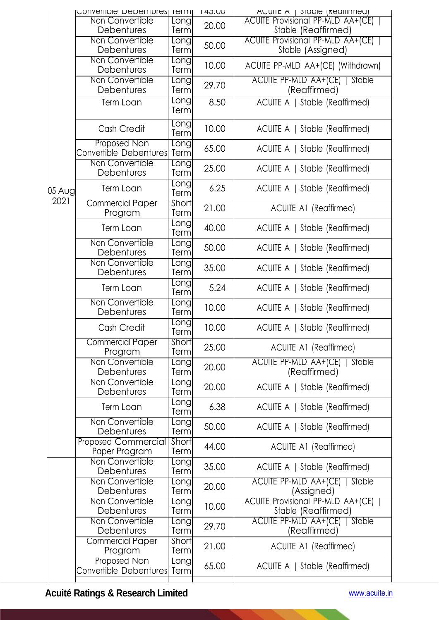|        | <b>ICOUVELIIDIE DEDENIULES IEILII</b>       |                       | <b>UU.CP1</b> | ACUIIL A   JIQUIE (KEQIIIIIIIEQ)                                  |
|--------|---------------------------------------------|-----------------------|---------------|-------------------------------------------------------------------|
|        | Non Convertible<br>Debentures               | Eong<br>Term          | 20.00         | ACUITE Provisional PP-MLD AA+(CE)  <br>Stable (Reaffirmed)        |
|        | Non Convertible<br>Debentures               | <u>Longl</u><br>Term  | 50.00         | <b>ACUITE Provisional PP-MLD AA+(CE)  </b><br>Stable (Assigned)   |
|        | Non Convertible<br>Debentures               | <b>Long</b><br>Term   | 10.00         | ACUITE PP-MLD AA+(CE) (Withdrawn)                                 |
|        | Non Convertible<br>Debentures               | <b>L</b> ongl<br>Term | 29.70         | ACUITE PP-MLD AA+(CE)   Stable<br>(Reaffirmed)                    |
|        | Term Loan                                   | Tong<br>Term          | 8.50          | ACUITE A   Stable (Reaffirmed)                                    |
|        | Cash Credit                                 | <b>Long</b><br>Term   | 10.00         | ACUITE A   Stable (Reaffirmed)                                    |
|        | Proposed Non<br>Convertible Debentures      | <b>Long</b><br>Term   | 65.00         | ACUITE A   Stable (Reaffirmed)                                    |
|        | Non Convertible<br>Debentures               | <b>Long</b><br>Term   | 25.00         | ACUITE A   Stable (Reaffirmed)                                    |
| 05 Aug | Term Loan                                   | Longl<br>Term         | 6.25          | ACUITE A   Stable (Reaffirmed)                                    |
| 2021   | <b>Commercial Paper</b><br>Program          | Short<br>Term         | 21.00         | <b>ACUITE A1 (Reaffirmed)</b>                                     |
|        | Term Loan                                   | Longl<br>Term         | 40.00         | ACUITE A   Stable (Reaffirmed)                                    |
|        | Non Convertible<br>Debentures               | <u>Longl</u><br>Term  | 50.00         | ACUITE A   Stable (Reaffirmed)                                    |
|        | Non Convertible<br>Debentures               | <b>Long</b><br>Term   | 35.00         | ACUITE A   Stable (Reaffirmed)                                    |
|        | Term Loan                                   | Long<br>Term          | 5.24          | ACUITE A   Stable (Reaffirmed)                                    |
|        | Non Convertible<br>Debentures               | <u>Longl</u><br>Term  | 10.00         | ACUITE A   Stable (Reaffirmed)                                    |
|        | Cash Credit                                 | Long<br>Term          | 10.00         | ACUITE A   Stable (Reaffirmed)                                    |
|        | <b>Commercial Paper</b><br>Program          | Short<br>Term         | 25.00         | <b>ACUITE A1 (Reaffirmed)</b>                                     |
|        | Non Convertible<br>Debentures               | Longl<br>Term         | 20.00         | ACUITE PP-MLD AA+(CE)   Stable<br>(Reaffirmed)                    |
|        | Non Convertible<br>Debentures               | <b>Long</b><br>Term   | 20.00         | ACUITE A   Stable (Reaffirmed)                                    |
|        | Term Loan                                   | Longl<br>Term         | 6.38          | ACUITE A   Stable (Reaffirmed)                                    |
|        | Non Convertible<br><b>Debentures</b>        | Longl<br>Term         | 50.00         | ACUITE A   Stable (Reaffirmed)                                    |
|        | <b>Proposed Commercial</b><br>Paper Program | Short<br>Term         | 44.00         | <b>ACUITE A1 (Reaffirmed)</b>                                     |
|        | Non Convertible<br>Debentures               | Longl<br>Term         | 35.00         | ACUITE A   Stable (Reaffirmed)                                    |
|        | Non Convertible<br>Debentures               | Longl<br>Term         | 20.00         | ACUITE PP-MLD AA+(CE)   Stable<br>(Assigned)                      |
|        | Non Convertible<br>Debentures               | Longl<br>Term         | 10.00         | <b>ACUITE Provisional PP-MLD AA+(CE)  </b><br>Stable (Reaffirmed) |
|        | Non Convertible<br>Debentures               | <b>Long</b><br>Term   | 29.70         | ACUITE PP-MLD AA+(CE)   Stable<br>(Reaffirmed)                    |
|        | <b>Commercial Paper</b><br>Program          | Short<br>Term         | 21.00         | <b>ACUITE A1 (Reaffirmed)</b>                                     |
|        | Proposed Non<br>Convertible Debentures      | Longl<br>Term         | 65.00         | ACUITE A   Stable (Reaffirmed)                                    |
|        |                                             |                       |               |                                                                   |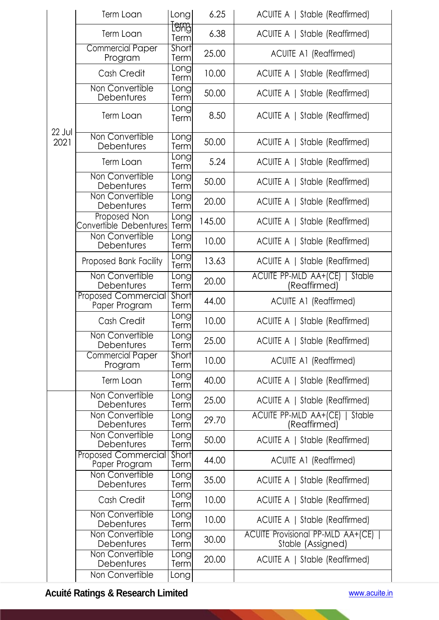|                  | Term Loan                                   | Long                     | 6.25   | ACUITE A   Stable (Reaffirmed)                           |
|------------------|---------------------------------------------|--------------------------|--------|----------------------------------------------------------|
|                  | Term Loan                                   | f <del>emy</del><br>Term | 6.38   | ACUITE A   Stable (Reaffirmed)                           |
|                  | <b>Commercial Paper</b><br>Program          | Short<br>Term            | 25.00  | <b>ACUITE A1 (Reaffirmed)</b>                            |
|                  | Cash Credit                                 | Long<br>Term             | 10.00  | ACUITE A   Stable (Reaffirmed)                           |
|                  | Non Convertible<br>Debentures               | Longl<br>Term            | 50.00  | ACUITE A   Stable (Reaffirmed)                           |
|                  | <b>Term Loan</b>                            | Long<br>Term             | 8.50   | ACUITE A   Stable (Reaffirmed)                           |
| $22$ Jul<br>2021 | Non Convertible<br>Debentures               | Long<br>Term             | 50.00  | ACUITE A   Stable (Reaffirmed)                           |
|                  | <b>Term Loan</b>                            | Long<br>Term             | 5.24   | ACUITE A   Stable (Reaffirmed)                           |
|                  | Non Convertible<br>Debentures               | Long<br>Term             | 50.00  | ACUITE A   Stable (Reaffirmed)                           |
|                  | Non Convertible<br>Debentures               | Long<br>Term             | 20.00  | ACUITE A   Stable (Reaffirmed)                           |
|                  | Proposed Non<br>Convertible Debentures      | Long<br>Term             | 145.00 | ACUITE A   Stable (Reaffirmed)                           |
|                  | Non Convertible<br>Debentures               | Long<br>Term             | 10.00  | ACUITE A   Stable (Reaffirmed)                           |
|                  | Proposed Bank Facility                      | Longl<br>Term            | 13.63  | ACUITE A   Stable (Reaffirmed)                           |
|                  | Non Convertible<br>Debentures               | Long<br>Term<br>Short    | 20.00  | ACUITE PP-MLD AA+(CE)  <br>Stable<br>(Reaffirmed)        |
|                  | <b>Proposed Commercial</b><br>Paper Program |                          | 44.00  | <b>ACUITE A1 (Reaffirmed)</b>                            |
|                  | Cash Credit                                 | Long<br>Term             | 10.00  | ACUITE A   Stable (Reaffirmed)                           |
|                  | Non Convertible<br>Debentures               | Long<br>Term             | 25.00  | ACUITE A   Stable (Reaffirmed)                           |
|                  | <b>Commercial Paper</b><br>Program          | Short<br>Term            | 10.00  | <b>ACUITE A1 (Reaffirmed)</b>                            |
|                  | Term Loan                                   | Long<br>Term             | 40.00  | ACUITE A   Stable (Reaffirmed)                           |
|                  | Non Convertible<br>Debentures               | Long<br>Term             | 25.00  | ACUITE A   Stable (Reaffirmed)                           |
|                  | Non Convertible<br>Debentures               | Long<br>Term             | 29.70  | ACUITE PP-MLD AA+(CE)  <br>Stable<br>(Reaffirmed)        |
|                  | Non Convertible<br>Debentures               | Long<br>Term             | 50.00  | ACUITE A   Stable (Reaffirmed)                           |
|                  | <b>Proposed Commercial</b><br>Paper Program | Short<br>Term            | 44.00  | <b>ACUITE A1 (Reaffirmed)</b>                            |
|                  | Non Convertible<br>Debentures               | Long<br>Term             | 35.00  | ACUITE A   Stable (Reaffirmed)                           |
|                  | Cash Credit                                 | Long<br>Term             | 10.00  | ACUITE A   Stable (Reaffirmed)                           |
|                  | Non Convertible<br>Debentures               | Long<br>Term             | 10.00  | ACUITE A   Stable (Reaffirmed)                           |
|                  | Non Convertible<br>Debentures               | Long<br>Term             | 30.00  | ACUITE Provisional PP-MLD AA+(CE)  <br>Stable (Assigned) |
|                  | Non Convertible<br>Debentures               | Long<br>Term             | 20.00  | ACUITE A   Stable (Reaffirmed)                           |
|                  | Non Convertible                             | Longl                    |        |                                                          |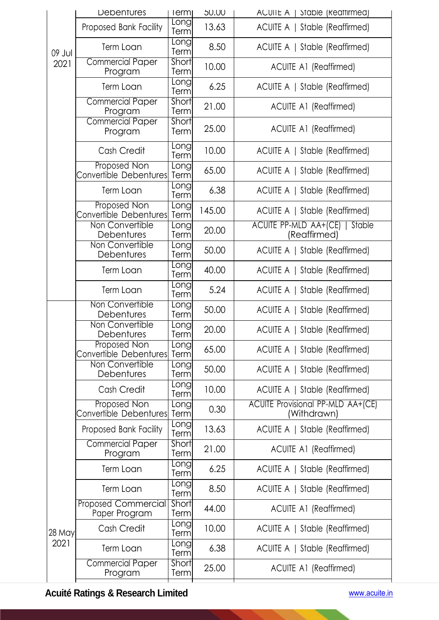|        | <b>Debentures</b>                           | lerm                | <b>50.00</b> | <b>ACUILE A</b>  <br>Stable (Reattirmed)                 |
|--------|---------------------------------------------|---------------------|--------------|----------------------------------------------------------|
|        | Proposed Bank Facility                      | Long<br>Term        | 13.63        | ACUITE A   Stable (Reaffirmed)                           |
| 09 Jul | Term Loan                                   | Long<br>Term        | 8.50         | ACUITE A   Stable (Reaffirmed)                           |
| 2021   | <b>Commercial Paper</b><br>Program          | Short<br>Term       | 10.00        | <b>ACUITE A1 (Reaffirmed)</b>                            |
|        | Term Loan                                   | <b>Long</b><br>Term | 6.25         | ACUITE A   Stable (Reaffirmed)                           |
|        | <b>Commercial Paper</b><br>Program          | Short<br>Term       | 21.00        | <b>ACUITE A1 (Reaffirmed)</b>                            |
|        | <b>Commercial Paper</b><br>Program          | Short<br>Term       | 25.00        | <b>ACUITE A1 (Reaffirmed)</b>                            |
|        | Cash Credit                                 | Long<br>Term        | 10.00        | ACUITE A   Stable (Reaffirmed)                           |
|        | Proposed Non<br>Convertible Debentures      | Long<br>Term        | 65.00        | ACUITE A   Stable (Reaffirmed)                           |
|        | Term Loan                                   | <b>Long</b><br>Term | 6.38         | ACUITE A   Stable (Reaffirmed)                           |
|        | Proposed Non<br>Convertible Debentures      | Long<br>Term        | 145.00       | ACUITE A   Stable (Reaffirmed)                           |
|        | Non Convertible<br>Debentures               | Long<br>Term        | 20.00        | ACUITE PP-MLD AA+(CE)  <br><b>Stable</b><br>(Reaffirmed) |
|        | Non Convertible<br>Debentures               | <b>Long</b><br>Term | 50.00        | ACUITE A   Stable (Reaffirmed)                           |
|        | Term Loan                                   | <b>Long</b><br>Term | 40.00        | ACUITE A   Stable (Reaffirmed)                           |
|        | Term Loan                                   | Long<br>Term        | 5.24         | ACUITE A   Stable (Reaffirmed)                           |
|        | Non Convertible<br>Debentures               | Long<br>Term        | 50.00        | ACUITE A   Stable (Reaffirmed)                           |
|        | Non Convertible<br>Debentures               | Long<br>Term        | 20.00        | ACUITE A   Stable (Reaffirmed)                           |
|        | Proposed Non<br>Convertible Debentures      | Long<br>Term        | 65.00        | ACUITE A   Stable (Reaffirmed)                           |
|        | Non Convertible<br>Debentures               | Long<br>Term        | 50.00        | ACUITE A   Stable (Reaffirmed)                           |
|        | Cash Credit                                 | Longl<br>Term       | 10.00        | ACUITE A   Stable (Reaffirmed)                           |
|        | Proposed Non<br>Convertible Debentures      | Long<br>Term        | 0.30         | <b>ACUITE Provisional PP-MLD AA+(CE)</b><br>(Withdrawn)  |
|        | Proposed Bank Facility                      | Long<br>Term        | 13.63        | ACUITE A   Stable (Reaffirmed)                           |
|        | <b>Commercial Paper</b><br>Program          | Short<br>Term       | 21.00        | <b>ACUITE A1 (Reaffirmed)</b>                            |
|        | Term Loan                                   | Longl<br>Term       | 6.25         | ACUITE A   Stable (Reaffirmed)                           |
|        | Term Loan                                   | Long<br>Term        | 8.50         | ACUITE A   Stable (Reaffirmed)                           |
|        | <b>Proposed Commercial</b><br>Paper Program | Short<br>Term       | 44.00        | <b>ACUITE A1 (Reaffirmed)</b>                            |
| 28 May | Cash Credit                                 | Long<br>Term        | 10.00        | ACUITE A   Stable (Reaffirmed)                           |
| 2021   | Term Loan                                   | Long<br>Term        | 6.38         | ACUITE A   Stable (Reaffirmed)                           |
|        | <b>Commercial Paper</b><br>Program          | Short<br>Term       | 25.00        | <b>ACUITE A1 (Reaffirmed)</b>                            |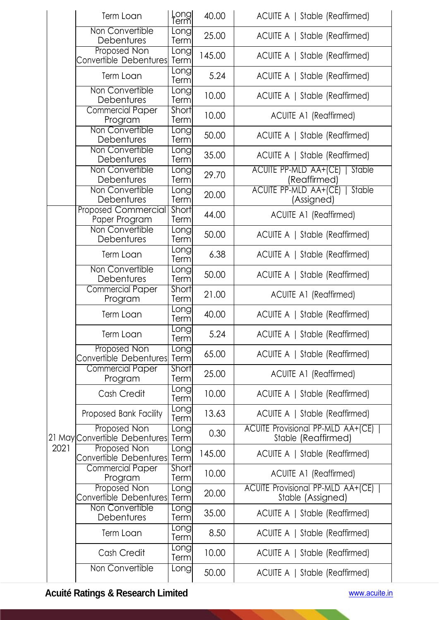|      | Term Loan                                     | Long<br>Term          | 40.00  | ACUITE A   Stable (Reaffirmed)                                  |
|------|-----------------------------------------------|-----------------------|--------|-----------------------------------------------------------------|
|      | Non Convertible<br>Debentures                 | Long<br>Term          | 25.00  | ACUITE A   Stable (Reaffirmed)                                  |
|      | Proposed Non<br>Convertible Debentures        | Long<br>Term          | 145.00 | ACUITE A   Stable (Reaffirmed)                                  |
|      | Term Loan                                     | Longl<br>Term         | 5.24   | ACUITE A   Stable (Reaffirmed)                                  |
|      | Non Convertible<br>Debentures                 | Long<br>Term          | 10.00  | ACUITE A   Stable (Reaffirmed)                                  |
|      | <b>Commercial Paper</b><br>Program            | Short<br>Term         | 10.00  | <b>ACUITE A1 (Reaffirmed)</b>                                   |
|      | Non Convertible<br>Debentures                 | Long<br>Term          | 50.00  | ACUITE A   Stable (Reaffirmed)                                  |
|      | Non Convertible<br>Debentures                 | <b>Long</b><br>Term   | 35.00  | ACUITE A   Stable (Reaffirmed)                                  |
|      | Non Convertible<br>Debentures                 | <b>Long</b><br>Term   | 29.70  | ACUITE PP-MLD AA+(CE)  <br>Stable<br>(Reaffirmed)               |
|      | Non Convertible<br>Debentures                 | <b>Long</b><br>Term   | 20.00  | <b>ACUITE PP-MLD AA+(CE)  </b><br>Stable<br>(Assigned)          |
|      | Proposed Commercial<br>Paper Program          | Short<br>Term         | 44.00  | <b>ACUITE A1 (Reaffirmed)</b>                                   |
|      | Non Convertible<br>Debentures                 | <b>Long</b><br>Term   | 50.00  | ACUITE A   Stable (Reaffirmed)                                  |
|      | Term Loan                                     | <b>Long</b><br>Term   | 6.38   | ACUITE A   Stable (Reaffirmed)                                  |
|      | Non Convertible<br>Debentures                 | <b>L</b> ongl<br>Term | 50.00  | ACUITE A   Stable (Reaffirmed)                                  |
|      | <b>Commercial Paper</b><br>Program            | Short<br>Term         | 21.00  | <b>ACUITE A1 (Reaffirmed)</b>                                   |
|      | Term Loan                                     | Longl<br>Term         | 40.00  | ACUITE A   Stable (Reaffirmed)                                  |
|      | Term Loan                                     | <u>[ong</u><br>Term   | 5.24   | ACUITE A   Stable (Reaffirmed)                                  |
|      | Proposed Non<br>Convertible Debentures        | Long<br>Term          | 65.00  | ACUITE A   Stable (Reaffirmed)                                  |
|      | <b>Commercial Paper</b><br>Program            | Short<br>Term         | 25.00  | <b>ACUITE A1 (Reaffirmed)</b>                                   |
|      | Cash Credit                                   | Long<br>Term          | 10.00  | ACUITE A   Stable (Reaffirmed)                                  |
|      | Proposed Bank Facility                        | Long<br>Term          | 13.63  | ACUITE A   Stable (Reaffirmed)                                  |
|      | Proposed Non<br>21 May Convertible Debentures | Long<br>Term          | 0.30   | <b>ACUITE Provisional PP-MLD AA+(CE)</b><br>Stable (Reaffirmed) |
| 2021 | Proposed Non<br>Convertible Debentures        | Long<br>Term          | 145.00 | ACUITE A   Stable (Reaffirmed)                                  |
|      | <b>Commercial Paper</b><br>Program            | Short<br>Term         | 10.00  | <b>ACUITE A1 (Reaffirmed)</b>                                   |
|      | Proposed Non<br>Convertible Debentures        | Long<br>Term          | 20.00  | ACUITE Provisional PP-MLD AA+(CE)<br>Stable (Assigned)          |
|      | Non Convertible<br>Debentures                 | Long<br>Term          | 35.00  | ACUITE A   Stable (Reaffirmed)                                  |
|      | Term Loan                                     | Long<br>Term          | 8.50   | ACUITE A   Stable (Reaffirmed)                                  |
|      | Cash Credit                                   | Long<br>Term          | 10.00  | ACUITE A   Stable (Reaffirmed)                                  |
|      | Non Convertible                               | Long                  | 50.00  | ACUITE A   Stable (Reaffirmed)                                  |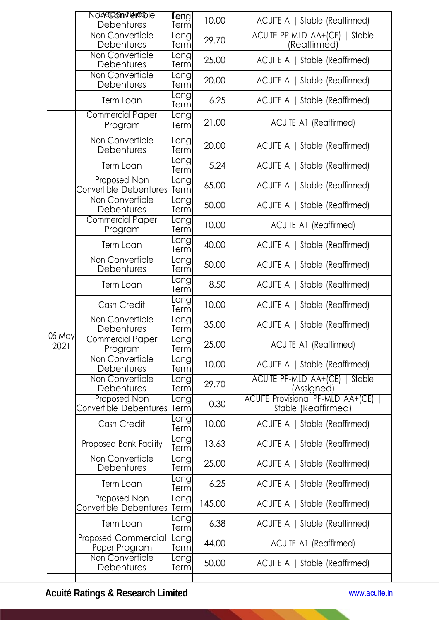|                | Ndpe Convertible                     | <b>Leng</b>   |        |                                            |  |
|----------------|--------------------------------------|---------------|--------|--------------------------------------------|--|
|                | Debentures                           | Term          | 10.00  | ACUITE A   Stable (Reaffirmed)             |  |
|                | Non Convertible                      | Long          | 29.70  | ACUITE PP-MLD AA+(CE)   Stable             |  |
|                | Debentures                           | Term          |        | (Reaffirmed)                               |  |
|                | Non Convertible                      | Long          | 25.00  | ACUITE A   Stable (Reaffirmed)             |  |
|                | Debentures                           | Term          |        |                                            |  |
|                | Non Convertible<br>Debentures        | Long<br>Term  | 20.00  | ACUITE A   Stable (Reaffirmed)             |  |
|                |                                      | Long          |        |                                            |  |
|                | Term Loan                            | Term          | 6.25   | ACUITE A   Stable (Reaffirmed)             |  |
|                | <b>Commercial Paper</b>              | Long          |        |                                            |  |
|                | Program                              | Term          | 21.00  | <b>ACUITE A1 (Reaffirmed)</b>              |  |
|                | Non Convertible                      | Long          |        |                                            |  |
|                | Debentures                           | Term          | 20.00  | ACUITE A   Stable (Reaffirmed)             |  |
|                |                                      | Long          |        |                                            |  |
|                | Term Loan                            | Term          | 5.24   | ACUITE A   Stable (Reaffirmed)             |  |
|                | Proposed Non                         | Long          | 65.00  | ACUITE A   Stable (Reaffirmed)             |  |
|                | Convertible Debentures               | Term          |        |                                            |  |
|                | Non Convertible<br><b>Debentures</b> | Long          | 50.00  | ACUITE A   Stable (Reaffirmed)             |  |
|                | <b>Commercial Paper</b>              | Term<br>Longl |        |                                            |  |
|                | Program                              | Term          | 10.00  | <b>ACUITE A1 (Reaffirmed)</b>              |  |
|                |                                      | <u>Longl</u>  |        |                                            |  |
|                | Term Loan                            | Term          | 40.00  | ACUITE A   Stable (Reaffirmed)             |  |
|                | Non Convertible                      | Long          | 50.00  | ACUITE A   Stable (Reaffirmed)             |  |
|                | Debentures                           | Term          |        |                                            |  |
|                | Term Loan                            | Long          | 8.50   | ACUITE A   Stable (Reaffirmed)             |  |
|                |                                      | Term<br>Long  |        |                                            |  |
|                | Cash Credit                          | Term          | 10.00  | ACUITE A   Stable (Reaffirmed)             |  |
|                | Non Convertible                      | Long          |        |                                            |  |
|                | Debentures                           | Term          | 35.00  | ACUITE A   Stable (Reaffirmed)             |  |
| 05 May<br>2021 | Commercial Paper                     | Long          | 25.00  | <b>ACUITE A1 (Reaffirmed)</b>              |  |
|                | Program                              | Term          |        |                                            |  |
|                | Non Convertible<br>Debentures        | Long<br>Term  | 10.00  | ACUITE A   Stable (Reaffirmed)             |  |
|                | Non Convertible                      | Longl         |        | ACUITE PP-MLD AA+(CE)   Stable             |  |
|                | Debentures                           | Term          | 29.70  | (Assigned)                                 |  |
|                | Proposed Non                         | Long          |        | <b>ACUITE Provisional PP-MLD AA+(CE)  </b> |  |
|                | Convertible Debentures               | Term          | 0.30   | Stable (Reaffirmed)                        |  |
|                | Cash Credit                          | Long          | 10.00  | ACUITE A   Stable (Reaffirmed)             |  |
|                |                                      | Term          |        |                                            |  |
|                | Proposed Bank Facility               | Long<br>Term  | 13.63  | ACUITE A   Stable (Reaffirmed)             |  |
|                | Non Convertible                      | Long          |        |                                            |  |
|                | <b>Debentures</b>                    | Term          | 25.00  | ACUITE A   Stable (Reaffirmed)             |  |
|                |                                      | Long          |        |                                            |  |
|                | Term Loan                            | Term          | 6.25   | ACUITE A   Stable (Reaffirmed)             |  |
|                | Proposed Non                         | Long          | 145.00 | ACUITE A   Stable (Reaffirmed)             |  |
|                | Convertible Debentures               | Term          |        |                                            |  |
|                | Term Loan                            | Long<br>Term  | 6.38   | ACUITE A   Stable (Reaffirmed)             |  |
|                | Proposed Commercial                  | Long          |        |                                            |  |
|                | Paper Program                        | Term          | 44.00  | <b>ACUITE A1 (Reaffirmed)</b>              |  |
|                | Non Convertible                      | Long          | 50.00  |                                            |  |
|                | Debentures                           | Term          |        | ACUITE A   Stable (Reaffirmed)             |  |
|                |                                      |               |        |                                            |  |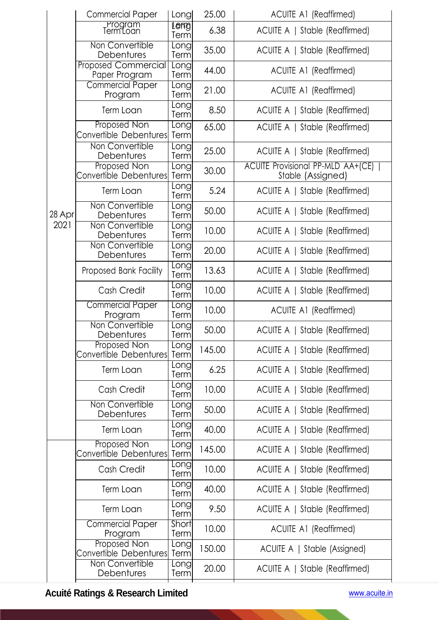|        | <b>Commercial Paper</b>                       | Long                 | 25.00  | <b>ACUITE A1 (Reaffirmed)</b>                          |
|--------|-----------------------------------------------|----------------------|--------|--------------------------------------------------------|
|        | <b>Program</b><br>Term Loan                   | Leng<br>Term         | 6.38   | ACUITE A   Stable (Reaffirmed)                         |
|        | Non Convertible<br>Debentures                 | <b>L</b> ong<br>Term | 35.00  | ACUITE A   Stable (Reaffirmed)                         |
|        | <b>Proposed Commercial</b><br>Paper Program   | Long<br>Term         | 44.00  | <b>ACUITE A1 (Reaffirmed)</b>                          |
|        | <b>Commercial Paper</b><br>Program            | Long<br>Term         | 21.00  | <b>ACUITE A1 (Reaffirmed)</b>                          |
|        | Term Loan                                     | Long<br>Term         | 8.50   | ACUITE A   Stable (Reaffirmed)                         |
|        | Proposed Non<br><b>Convertible Debentures</b> | Long<br>Term         | 65.00  | ACUITE A   Stable (Reaffirmed)                         |
|        | Non Convertible<br>Debentures                 | <b>Long</b><br>Term  | 25.00  | ACUITE A   Stable (Reaffirmed)                         |
|        | Proposed Non<br>Convertible Debentures        | Long<br>Term         | 30.00  | ACUITE Provisional PP-MLD AA+(CE)<br>Stable (Assigned) |
|        | <b>Term Loan</b>                              | Longl<br>Term        | 5.24   | ACUITE A   Stable (Reaffirmed)                         |
| 28 Apr | Non Convertible<br>Debentures                 | Long<br>Term         | 50.00  | ACUITE A   Stable (Reaffirmed)                         |
| 2021   | Non Convertible<br>Debentures                 | Longl<br>Term        | 10.00  | ACUITE A   Stable (Reaffirmed)                         |
|        | Non Convertible<br>Debentures                 | Long<br>Term         | 20.00  | ACUITE A   Stable (Reaffirmed)                         |
|        | Proposed Bank Facility                        | Longl<br>Term        | 13.63  | ACUITE A   Stable (Reaffirmed)                         |
|        | Cash Credit                                   | Long<br>Term         | 10.00  | ACUITE A   Stable (Reaffirmed)                         |
|        | <b>Commercial Paper</b><br>Program            | Long<br>Term         | 10.00  | <b>ACUITE A1 (Reaffirmed)</b>                          |
|        | Non Convertible<br>Debentures                 | Long<br>Term         | 50.00  | ACUITE A   Stable (Reaffirmed)                         |
|        | Proposed Non<br>Convertible Debentures        | Long<br>Term         | 145.00 | ACUITE A   Stable (Reaffirmed)                         |
|        | Term Loan                                     | Long<br>Term         | 6.25   | ACUITE A   Stable (Reaffirmed)                         |
|        | Cash Credit                                   | Long<br>Term         | 10.00  | ACUITE A   Stable (Reaffirmed)                         |
|        | Non Convertible<br>Debentures                 | Long<br>Term         | 50.00  | ACUITE A   Stable (Reaffirmed)                         |
|        | Term Loan                                     | Long<br>Term         | 40.00  | ACUITE A   Stable (Reaffirmed)                         |
|        | Proposed Non<br>Convertible Debentures        | Long<br>Term         | 145.00 | ACUITE A   Stable (Reaffirmed)                         |
|        | <b>Cash Credit</b>                            | Long<br>Term         | 10.00  | ACUITE A   Stable (Reaffirmed)                         |
|        | <b>Term Loan</b>                              | Long<br>Term         | 40.00  | ACUITE A   Stable (Reaffirmed)                         |
|        | Term Loan                                     | Long<br>Term         | 9.50   | ACUITE A   Stable (Reaffirmed)                         |
|        | <b>Commercial Paper</b><br>Program            | Short<br>Term        | 10.00  | <b>ACUITE A1 (Reaffirmed)</b>                          |
|        | Proposed Non<br><b>Convertible Debentures</b> | Long<br>Term         | 150.00 | ACUITE A   Stable (Assigned)                           |
|        | Non Convertible<br>Debentures                 | <b>Long</b><br>Term  | 20.00  | ACUITE A   Stable (Reaffirmed)                         |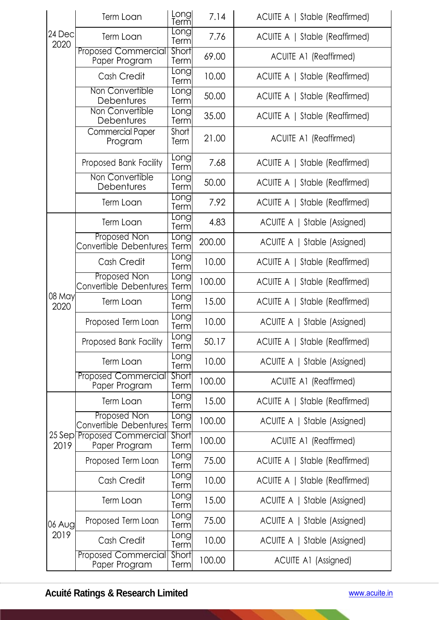|                                                    | <b>Term Loan</b>                              | .ong <br> erm              | 7.14   | ACUITE A   Stable (Reaffirmed) |
|----------------------------------------------------|-----------------------------------------------|----------------------------|--------|--------------------------------|
| 24 Dec                                             | Term Loan                                     | long<br>Term               | 7.76   | ACUITE A   Stable (Reaffirmed) |
|                                                    | <b>Proposed Commercial</b><br>Paper Program   | Short<br>Term              | 69.00  | <b>ACUITE A1 (Reaffirmed)</b>  |
|                                                    | Cash Credit                                   | Eong<br>Term               | 10.00  | ACUITE A   Stable (Reaffirmed) |
|                                                    | Non Convertible<br>Debentures                 | [ong<br>Term               | 50.00  | ACUITE A   Stable (Reaffirmed) |
|                                                    | Non Convertible<br>Debentures                 | Eong<br>Term               | 35.00  | ACUITE A   Stable (Reaffirmed) |
|                                                    | <b>Commercial Paper</b><br>Program            | Short<br>Term              | 21.00  | <b>ACUITE A1 (Reaffirmed)</b>  |
|                                                    | Proposed Bank Facility                        | <b>Long</b><br>Term        | 7.68   | ACUITE A   Stable (Reaffirmed) |
|                                                    | Non Convertible<br>Debentures                 | <b>Long</b><br>Term        | 50.00  | ACUITE A   Stable (Reaffirmed) |
|                                                    | Term Loan                                     | Eongl<br>Term              | 7.92   | ACUITE A   Stable (Reaffirmed) |
|                                                    | Term Loan                                     | <u>T</u> ongl<br>Term      | 4.83   | ACUITE A   Stable (Assigned)   |
|                                                    | Proposed Non<br><b>Convertible Debentures</b> | Long<br>Term               | 200.00 | ACUITE A   Stable (Assigned)   |
|                                                    | Cash Credit                                   | <b>Long</b><br><b>Term</b> | 10.00  | ACUITE A   Stable (Reaffirmed) |
|                                                    | Proposed Non<br>Convertible Debentures        | Long<br>Term               | 100.00 | ACUITE A   Stable (Reaffirmed) |
| 2020                                               | Term Loan                                     | Long<br>Term               | 15.00  | ACUITE A   Stable (Reaffirmed) |
|                                                    | Proposed Term Loan                            | Longl<br>Term              | 10.00  | ACUITE A   Stable (Assigned)   |
|                                                    | Proposed Bank Facility                        | Long<br>Term               | 50.17  | ACUITE A   Stable (Reaffirmed) |
|                                                    | Term Loan                                     | Longl<br>Term              | 10.00  | ACUITE A   Stable (Assigned)   |
| 2020<br>08 May<br>25 Sep<br>2019<br>06 Aug<br>2019 | <b>Proposed Commercial</b><br>Paper Program   | Short<br>Term              | 100.00 | <b>ACUITE A1 (Reaffirmed)</b>  |
|                                                    | Term Loan                                     | .ong<br>Term               | 15.00  | ACUITE A   Stable (Reaffirmed) |
|                                                    | Proposed Non<br>Convertible Debentures        | Long<br>Term               | 100.00 | ACUITE A   Stable (Assigned)   |
|                                                    | <b>Proposed Commercial</b><br>Paper Program   | Short<br>Term              | 100.00 | <b>ACUITE A1 (Reaffirmed)</b>  |
|                                                    | Proposed Term Loan                            | <b>Long</b><br>Term        | 75.00  | ACUITE A   Stable (Reaffirmed) |
|                                                    | Cash Credit                                   | .ong<br>Term               | 10.00  | ACUITE A   Stable (Reaffirmed) |
|                                                    | Term Loan                                     | Long<br>Term               | 15.00  | ACUITE A   Stable (Assigned)   |
|                                                    | Proposed Term Loan                            | long<br>Term               | 75.00  | ACUITE A   Stable (Assigned)   |
|                                                    | Cash Credit                                   | <u>[ong</u><br>Term        | 10.00  | ACUITE A   Stable (Assigned)   |
|                                                    | <b>Proposed Commercial</b><br>Paper Program   | <b>Short</b><br>Term       | 100.00 | ACUITE A1 (Assigned)           |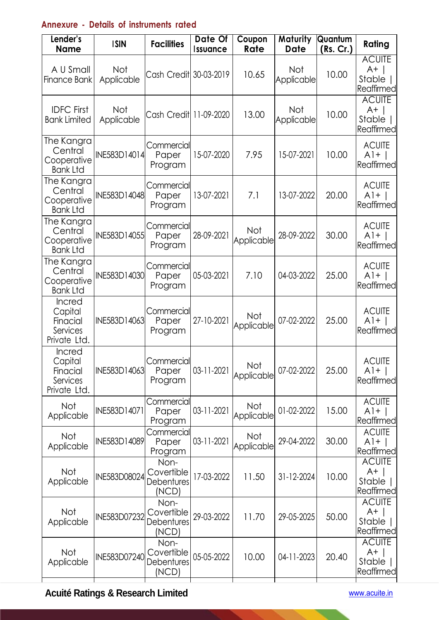## **Annexure - Details of instruments rated**

| Lender's<br><b>Name</b>                                   | <b>ISIN</b>       | <b>Facilities</b>                         | Date Of<br><i><u><b>Issuance</b></u></i> | Coupon<br>Rate    | Maturity<br>Date  | Quantum<br>(Rs. Cr.) | Rating                                                  |
|-----------------------------------------------------------|-------------------|-------------------------------------------|------------------------------------------|-------------------|-------------------|----------------------|---------------------------------------------------------|
| A U Small<br>Finance Bank                                 | Not<br>Applicable | Cash Credit  30-03-2019                   |                                          | 10.65             | Not<br>Applicable | 10.00                | <b>ACUITE</b><br>$A+$<br>Stable  <br>Reaffirmed         |
| <b>IDFC First</b><br><b>Bank Limited</b>                  | Not<br>Applicable | Cash Credit  11-09-2020                   |                                          | 13.00             | Not<br>Applicable | 10.00                | <b>ACUITE</b><br>$A+$<br>Stable  <br>Reaffirmed         |
| The Kangra<br>Central<br>Cooperative<br><b>Bank Ltd</b>   | INE583D14014      | Commercial<br>Paper<br>Program            | 15-07-2020                               | 7.95              | 15-07-2021        | 10.00                | <b>ACUITE</b><br>$A$ <sub>1</sub> +<br>Reaffirmed       |
| The Kangra<br>Central<br>Cooperative<br><b>Bank Ltd</b>   | INE583D14048      | Commercial<br>Paper<br>Program            | 13-07-2021                               | 7.1               | 13-07-2022        | 20.00                | <b>ACUITE</b><br>$A$ ] +<br>Reaffirmed                  |
| The Kangra<br>Central<br>Cooperative<br><b>Bank Ltd</b>   | INE583D14055      | Commercial<br>Paper<br>Program            | 28-09-2021                               | Not<br>Applicable | 28-09-2022        | 30.00                | <b>ACUITE</b><br>$A$ <sup>1+</sup><br><b>Reaffirmed</b> |
| The Kangra<br>Central<br>Cooperative<br><b>Bank Ltd</b>   | INE583D14030      | Commercial<br>Paper<br>Program            | 05-03-2021                               | 7.10              | 04-03-2022        | 25.00                | <b>ACUITE</b><br>$A$ <sup>1+</sup><br>Reaffirmed        |
| Incred<br>Capital<br>Finacial<br>Services<br>Private Ltd. | INE583D14063      | Commercial<br>Paper<br>Program            | 27-10-2021                               | Not<br>Applicable | 07-02-2022        | 25.00                | <b>ACUITE</b><br>$A$ ]+<br>Reaffirmed                   |
| Incred<br>Capital<br>Finacial<br>Services<br>Private Ltd. | INE583D14063      | <b>Commercial</b><br>Paper<br>Program     | 03-11-2021                               | Not<br>Applicable | 07-02-2022        | 25.00                | <b>ACUITE</b><br>$A$ <sub>1</sub> +<br>Reaffirmed       |
| Not<br>Applicable                                         | INE583D14071      | Commercial<br>Paper<br>Program            | 03-11-2021                               | Not<br>Applicable | 01-02-2022        | 15.00                | <b>ACUITE</b><br>$A$ <sub>1</sub> +<br>Reaffirmed       |
| Not<br>Applicable                                         | INE583D14089      | Commercial<br>Paper<br>Program            | 03-11-2021                               | Not<br>Applicable | 29-04-2022        | 30.00                | <b>ACUITE</b><br>$A$ <sub>1</sub> +<br>Reaffirmed       |
| Not<br>Applicable                                         | INE583D08024      | Non-<br>Covertible<br>Debentures<br>(NCD) | 17-03-2022                               | 11.50             | 31-12-2024        | 10.00                | <b>ACUITE</b><br>$A+$<br>Stable  <br>Reaffirmed         |
| Not<br>Applicable                                         | INE583D07232      | Non-<br>Covertible<br>Debentures<br>(NCD) | 29-03-2022                               | 11.70             | 29-05-2025        | 50.00                | <b>ACUITE</b><br>$A+$<br>Stable  <br>Reaffirmed         |
| Not<br>Applicable                                         | INE583D07240      | Non-<br>Covertible<br>Debentures<br>(NCD) | 05-05-2022                               | 10.00             | 04-11-2023        | 20.40                | <b>ACUITE</b><br>$A+$<br>Stable  <br>Reaffirmed         |

**Acuité Ratings & Research Limited** www.acuite.in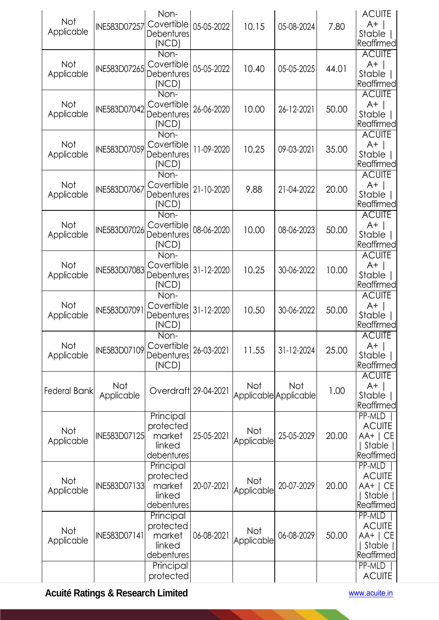| Not<br>Applicable        | INE583D07257      | Non-<br>Covertible<br>Debentures<br>(NCD)                | 05-05-2022 | 10.15             | 05-08-2024                   | 7.80  | <b>ACUITE</b><br>$A+$<br>Stable  <br>Reaffirmed                   |
|--------------------------|-------------------|----------------------------------------------------------|------------|-------------------|------------------------------|-------|-------------------------------------------------------------------|
| Not<br>Applicable        | INE583D07265      | Non-<br>Covertible<br>Debentures<br>(NCD)                | 05-05-2022 | 10.40             | 05-05-2025                   | 44.01 | <b>ACUITE</b><br>$A+$<br>Stable<br>Reaffirmed                     |
| Not<br>Applicable        | INE583D07042      | Non-<br>Covertible<br>Debentures<br>(NCD)                | 26-06-2020 | 10.00             | 26-12-2021                   | 50.00 | <b>ACUITE</b><br>$A+$<br>Stable<br>Reaffirmed                     |
| Not<br>Applicable        | INE583D07059      | Non-<br>Covertible<br>Debentures<br>(NCD)                | 11-09-2020 | 10.25             | 09-03-2021                   | 35.00 | <b>ACUITE</b><br>$A+$<br>Stable<br>Reaffirmed                     |
| Not<br>Applicable        | INE583D07067      | Non-<br>Covertible<br>Debentures<br>(NCD)                | 21-10-2020 | 9.88              | 21-04-2022                   | 20.00 | <b>ACUITE</b><br>$A+$<br>Stable<br>Reaffirmed                     |
| <b>Not</b><br>Applicable | INE583D07026      | Non-<br>Covertible<br>Debentures<br>(NCD)                | 08-06-2020 | 10.00             | 08-06-2023                   | 50.00 | <b>ACUITE</b><br>$A+$<br>Stable<br>Reaffirmed                     |
| Not<br>Applicable        | INE583D07083      | Non-<br>Covertible<br>Debentures<br>(NCD)                | 31-12-2020 | 10.25             | 30-06-2022                   | 10.00 | <b>ACUITE</b><br>$A+$<br>Stable<br>Reaffirmed                     |
| Not<br>Applicable        | INE583D0709       | Non-<br>Covertible<br>Debentures<br>(NCD)                | 31-12-2020 | 10.50             | 30-06-2022                   | 50.00 | <b>ACUITE</b><br>$A+$<br>Stable  <br>Reaffirmed                   |
| Not<br>Applicable        | INE583D07109      | Non-<br>Covertible<br>Debentures<br>(NCD)                | 26-03-2021 | 11.55             | 31-12-2024                   | 25.00 | <b>ACUITE</b><br>$A+$<br>Stable  <br>Reaffirmed                   |
| <b>Federal Bank</b>      | Not<br>Applicable | Overdraft 29-04-2021                                     |            | Not               | Not<br>Applicable Applicable | 1.00  | <b>ACUITE</b><br>$A+$<br>Stable<br>Reaffirmed                     |
| Not<br>Applicable        | INE583D07125      | Principal<br>protected<br>market<br>linked<br>debentures | 25-05-2021 | Not<br>Applicable | 25-05-2029                   | 20.00 | PP-MLD<br><b>ACUITE</b><br>$AA+$   CE<br>Stable  <br>Reaffirmed   |
| Not<br>Applicable        | INE583D07133      | Principal<br>protected<br>market<br>linked<br>debentures | 20-07-2021 | Not<br>Applicable | 20-07-2029                   | 20.00 | PP-MLD<br><b>ACUITE</b><br>$AA+$   CE<br>  Stable  <br>Reaffirmed |
| Not<br>Applicable        | INE583D07141      | Principal<br>protected<br>market<br>linked<br>debentures | 06-08-2021 | Not<br>Applicable | 06-08-2029                   | 50.00 | PP-MLD<br><b>ACUITE</b><br>$AA+$   CE<br>  Stable  <br>Reaffirmed |
|                          |                   | Principal<br>protected                                   |            |                   |                              |       | PP-MLD<br><b>ACUITE</b>                                           |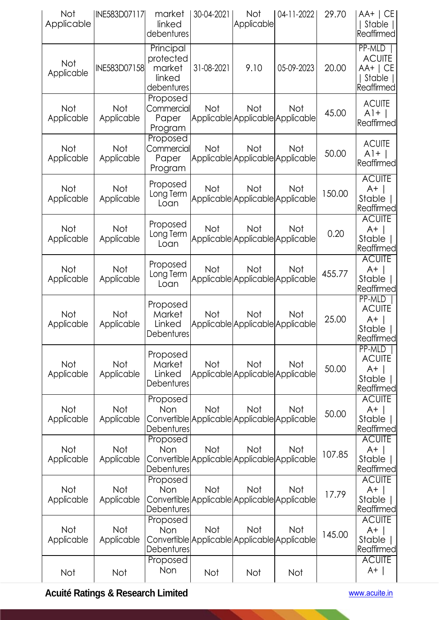| Not<br>Applicable        | INE583D07117             | market<br>linked<br>debentures                                                       | 30-04-2021 | Not<br>Applicable                              | 04-11-2022                                     | 29.70  | $AA+$   $CE$<br>Stable  <br>Reaffirmed                            |
|--------------------------|--------------------------|--------------------------------------------------------------------------------------|------------|------------------------------------------------|------------------------------------------------|--------|-------------------------------------------------------------------|
| Not<br>Applicable        | INE583D07158             | Principal<br>protected<br>market<br>linked<br>debentures                             | 31-08-2021 | 9.10                                           | 05-09-2023                                     | 20.00  | PP-MLD<br><b>ACUITE</b><br>$AA+$   CE<br>  Stable  <br>Reaffirmed |
| Not<br>Applicable        | Not<br>Applicable        | Proposed<br>Commercial<br>Paper<br>Program                                           | Not        | Not<br>Applicable Applicable Applicable        | Not                                            | 45.00  | <b>ACUITE</b><br>$A$ <sub>1</sub> +<br>Reaffirmed                 |
| <b>Not</b><br>Applicable | <b>Not</b><br>Applicable | Proposed<br>Commercial<br>Paper<br>Program                                           | Not        | <b>Not</b><br>Applicable Applicable Applicable | Not                                            | 50.00  | <b>ACUITE</b><br>$A$ ] +<br>Reaffirmed                            |
| Not<br>Applicable        | Not<br>Applicable        | Proposed<br>Long Term<br>Loan                                                        | Not        | <b>Not</b>                                     | Not<br>Applicable Applicable Applicable        | 150.00 | <b>ACUITE</b><br>$A+$<br>Stable<br>Reaffirmed                     |
| Not<br>Applicable        | Not<br>Applicable        | Proposed<br>Long Term<br>Loan                                                        | Not        | <b>Not</b>                                     | <b>Not</b><br>Applicable Applicable Applicable | 0.20   | <b>ACUITE</b><br>$A+$<br>Stable<br>Reaffirmed                     |
| Not<br>Applicable        | Not<br>Applicable        | Proposed<br>Long Term<br>Loan                                                        | Not        | <b>Not</b>                                     | <b>Not</b><br>Applicable Applicable Applicable | 455.77 | <b>ACUITE</b><br>$A+$<br>Stable<br>Reaffirmed                     |
| Not<br>Applicable        | Not<br>Applicable        | Proposed<br>Market<br>Linked<br>Debentures                                           | Not        | Not<br>Applicable Applicable Applicable        | Not                                            | 25.00  | PP-MLD<br><b>ACUITE</b><br>$A+$<br>Stable<br>Reaffirmed           |
| <b>Not</b><br>Applicable | <b>Not</b><br>Applicable | Proposed<br>Market<br>Linked<br><b>Debentures</b>                                    | Not        | <b>Not</b><br>Applicable Applicable Applicable | <b>Not</b>                                     | 50.00  | PP-MLD<br><b>ACUITE</b><br>$A+$<br>Stable  <br>Reaffirmed         |
| Not<br>Applicable        | <b>Not</b><br>Applicable | Proposed<br>Non<br>Convertible Applicable Applicable Applicable<br>Debentures        | Not        | <b>Not</b>                                     | <b>Not</b>                                     | 50.00  | <b>ACUITE</b><br>$A+$<br>Stable<br>Reaffirmed                     |
| Not<br>Applicable        | Not<br>Applicable        | Proposed<br>Non<br>Convertible Applicable Applicable Applicable<br>Debentures        | Not        | Not                                            | <b>Not</b>                                     | 107.85 | <b>ACUITE</b><br>$A+$<br>Stable<br>Reaffirmed                     |
| Not<br>Applicable        | Not<br>Applicable        | Proposed<br><b>Non</b><br>Convertible Applicable Applicable Applicable<br>Debentures | Not        | <b>Not</b>                                     | Not                                            | 17.79  | <b>ACUITE</b><br>$A+$<br>Stable<br>Reaffirmed                     |
| Not<br>Applicable        | Not<br>Applicable        | Proposed<br>Non<br>Convertible Applicable Applicable Applicable<br>Debentures        | Not        | <b>Not</b>                                     | <b>Not</b>                                     | 145.00 | <b>ACUITE</b><br>$A+$<br>Stable<br>Reaffirmed                     |
| Not                      | Not                      | Proposed<br>Non                                                                      | Not        | Not                                            | Not                                            |        | <b>ACUITE</b><br>$A+$                                             |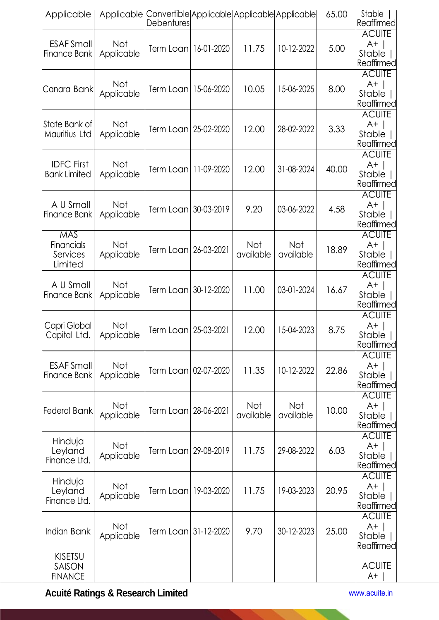| Applicable                                      | Applicable Convertible Applicable Applicable Applicable | Debentures             |                  |                         | 65.00 | Stable<br>Reaffirmed                              |
|-------------------------------------------------|---------------------------------------------------------|------------------------|------------------|-------------------------|-------|---------------------------------------------------|
| <b>ESAF Small</b><br>Finance Bank               | <b>Not</b><br>Applicable                                | Term Loan   16-01-2020 | 11.75            | 10-12-2022              | 5.00  | <b>ACUITE</b><br>$A+$<br>Stable  <br>Reaffirmed   |
| Canara Bank                                     | Not<br>Applicable                                       | Term Loan   15-06-2020 | 10.05            | 15-06-2025              | 8.00  | <b>ACUITE</b><br>$A+$<br>Stable  <br>Reaffirmed   |
| State Bank of<br>Mauritius Ltd                  | <b>Not</b><br>Applicable                                | Term Loan 25-02-2020   | 12.00            | 28-02-2022              | 3.33  | <b>ACUITE</b><br>$A+$  <br>Stable  <br>Reaffirmed |
| <b>IDFC First</b><br><b>Bank Limited</b>        | <b>Not</b><br>Applicable                                | Term Loan   11-09-2020 | 12.00            | 31-08-2024              | 40.00 | <b>ACUITE</b><br>$A+$<br>Stable  <br>Reaffirmed   |
| A U Small<br>Finance Bank                       | Not<br>Applicable                                       | Term Loan 30-03-2019   | 9.20             | 03-06-2022              | 4.58  | <b>ACUITE</b><br>$A+$<br>Stable  <br>Reaffirmed   |
| <b>MAS</b><br>Financials<br>Services<br>Limited | Not<br>Applicable                                       | Term Loan   26-03-2021 | Not<br>available | <b>Not</b><br>available | 18.89 | <b>ACUITE</b><br>$A+$<br>Stable  <br>Reaffirmed   |
| A U Small<br>Finance Bank                       | Not<br>Applicable                                       | Term Loan 30-12-2020   | 11.00            | 03-01-2024              | 16.67 | <b>ACUITE</b><br>$A+$<br>Stable  <br>Reaffirmed   |
| Capri Global<br>Capital Ltd.                    | Not<br>Applicable                                       | Term Loan 25-03-2021   | 12.00            | 15-04-2023              | 8.75  | <b>ACUITE</b><br>$A+$<br>Stable  <br>Reaffirmed   |
| <b>ESAF Small</b><br>Finance Bank               | Not<br>Applicable                                       | Term Loan 02-07-2020   | 11.35            | 10-12-2022              | 22.86 | <b>ACUITE</b><br>$A+$<br>Stable  <br>Reaffirmed   |
| Federal Bank                                    | Not<br>Applicable                                       | Term Loan 28-06-2021   | Not<br>available | Not<br>available        | 10.00 | <b>ACUITE</b><br>$A+$<br>Stable  <br>Reaffirmed   |
| Hinduja<br>Leyland<br>Finance Ltd.              | <b>Not</b><br>Applicable                                | Term Loan 29-08-2019   | 11.75            | 29-08-2022              | 6.03  | <b>ACUITE</b><br>$A+$<br>Stable  <br>Reaffirmed   |
| Hinduja<br>Leyland<br>Finance Ltd.              | Not<br>Applicable                                       | Term Loan   19-03-2020 | 11.75            | 19-03-2023              | 20.95 | <b>ACUITE</b><br>$A+$<br>Stable<br>Reaffirmed     |
| Indian Bank                                     | Not<br>Applicable                                       | Term Loan 31-12-2020   | 9.70             | 30-12-2023              | 25.00 | <b>ACUITE</b><br>$A+$<br>Stable<br>Reaffirmed     |
| KISETSU<br>SAISON<br><b>FINANCE</b>             |                                                         |                        |                  |                         |       | <b>ACUITE</b><br>$A+$                             |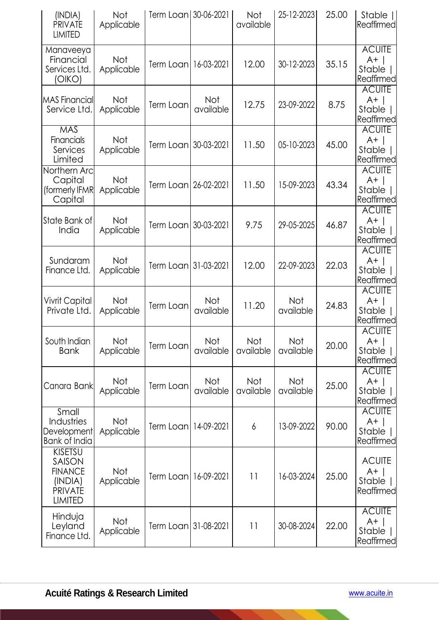| (INDIA)<br><b>PRIVATE</b><br><b>LIMITED</b>                                 | Not<br>Applicable        | Term Loan 30-06-2021   |                  | Not<br>available | 25-12-2023              | 25.00 | Stable  <br>Reaffirmed                            |
|-----------------------------------------------------------------------------|--------------------------|------------------------|------------------|------------------|-------------------------|-------|---------------------------------------------------|
| Manaveeya<br>Financial<br>Services Ltd.<br>(OIKO)                           | <b>Not</b><br>Applicable | Term Loan   16-03-2021 |                  | 12.00            | 30-12-2023              | 35.15 | <b>ACUITE</b><br>$A+$<br>Stable  <br>Reaffirmed   |
| <b>MAS Financial</b><br>Service Ltd.                                        | Not<br>Applicable        | Term Loan              | Not<br>available | 12.75            | 23-09-2022              | 8.75  | <b>ACUITE</b><br>$A+$<br>Stable  <br>Reaffirmed   |
| <b>MAS</b><br>Financials<br>Services<br>Limited                             | <b>Not</b><br>Applicable | Term Loan 30-03-2021   |                  | 11.50            | 05-10-2023              | 45.00 | <b>ACUITE</b><br>$A+$  <br>Stable  <br>Reaffirmed |
| Northern Arc<br>Capital<br>formerly IFMR)<br>Capital                        | Not<br>Applicable        | Term Loan 26-02-2021   |                  | 11.50            | 15-09-2023              | 43.34 | <b>ACUITE</b><br>$A+$  <br>Stable  <br>Reaffirmed |
| State Bank of<br>India                                                      | <b>Not</b><br>Applicable | Term Loan 30-03-2021   |                  | 9.75             | 29-05-2025              | 46.87 | <b>ACUITE</b><br>$A+$<br>Stable  <br>Reaffirmed   |
| Sundaram<br>Finance Ltd.                                                    | <b>Not</b><br>Applicable | Term Loan 31-03-2021   |                  | 12.00            | 22-09-2023              | 22.03 | <b>ACUITE</b><br>$A+$<br>Stable  <br>Reaffirmed   |
| <b>Vivrit Capital</b><br>Private Ltd.                                       | Not<br>Applicable        | Term Loan              | Not<br>available | 11.20            | Not<br>available        | 24.83 | <b>ACUITE</b><br>$A+$<br>Stable  <br>Reaffirmed   |
| South Indian<br><b>Bank</b>                                                 | Not<br>Applicable        | Term Loan              | Not<br>available | Not<br>available | Not<br>available        | 20.00 | <b>ACUITE</b><br>$A+$<br>Stable<br>Reaffirmed     |
| Canara Bank                                                                 | <b>Not</b><br>Applicable | Term Loan              | Not<br>available | Not<br>available | <b>Not</b><br>available | 25.00 | <b>ACUITE</b><br>$A+$<br>Stable  <br>Reaffirmed   |
| Small<br>Industries<br>Development<br>Bank of India                         | Not<br>Applicable        | Term Loan   14-09-2021 |                  | 6                | 13-09-2022              | 90.00 | <b>ACUITE</b><br>$A+$<br>Stable  <br>Reaffirmed   |
| KISETSU<br>SAISON<br><b>FINANCE</b><br>(INDIA)<br>PRIVATE<br><b>LIMITED</b> | Not<br>Applicable        | Term Loan   16-09-2021 |                  | 11               | 16-03-2024              | 25.00 | <b>ACUITE</b><br>$A+$  <br>Stable  <br>Reaffirmed |
| Hinduja<br>Leyland<br>Finance Ltd.                                          | <b>Not</b><br>Applicable | Term Loan 31-08-2021   |                  | 11               | 30-08-2024              | 22.00 | <b>ACUITE</b><br>$A+$<br>Stable  <br>Reaffirmed   |